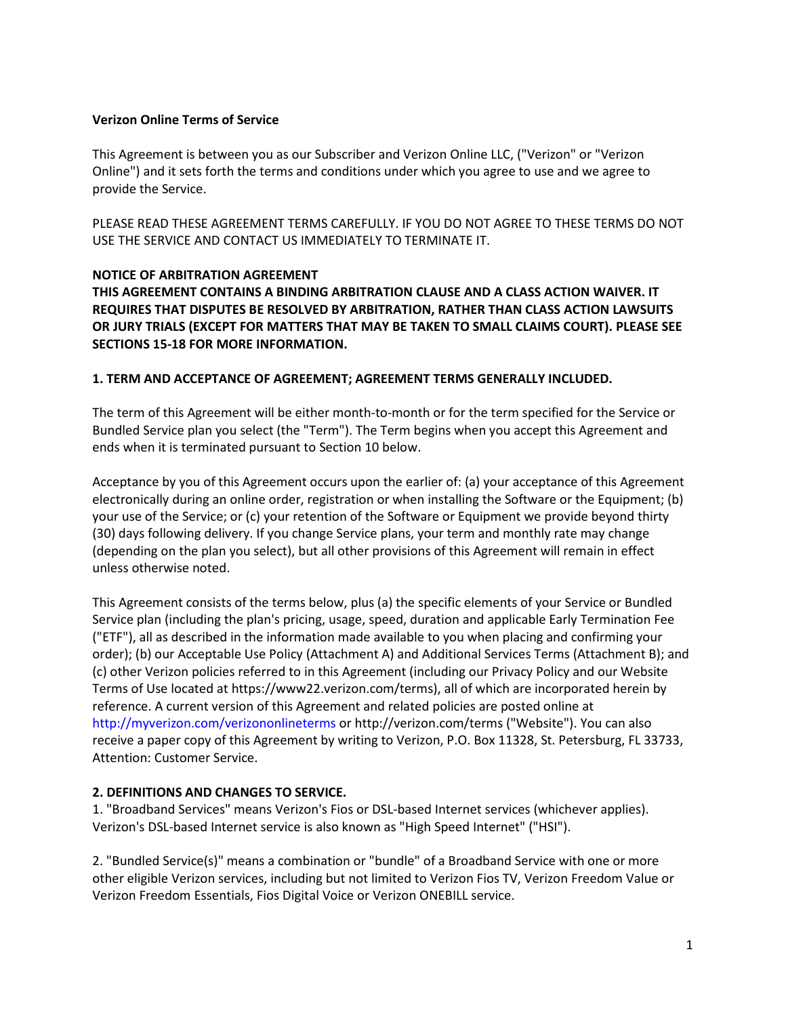### **Verizon Online Terms of Service**

This Agreement is between you as our Subscriber and Verizon Online LLC, ("Verizon" or "Verizon Online") and it sets forth the terms and conditions under which you agree to use and we agree to provide the Service.

PLEASE READ THESE AGREEMENT TERMS CAREFULLY. IF YOU DO NOT AGREE TO THESE TERMS DO NOT USE THE SERVICE AND CONTACT US IMMEDIATELY TO TERMINATE IT.

### **NOTICE OF ARBITRATION AGREEMENT**

**THIS AGREEMENT CONTAINS A BINDING ARBITRATION CLAUSE AND A CLASS ACTION WAIVER. IT REQUIRES THAT DISPUTES BE RESOLVED BY ARBITRATION, RATHER THAN CLASS ACTION LAWSUITS OR JURY TRIALS (EXCEPT FOR MATTERS THAT MAY BE TAKEN TO SMALL CLAIMS COURT). PLEASE SEE SECTIONS 15-18 FOR MORE INFORMATION.** 

### **1. TERM AND ACCEPTANCE OF AGREEMENT; AGREEMENT TERMS GENERALLY INCLUDED.**

The term of this Agreement will be either month-to-month or for the term specified for the Service or Bundled Service plan you select (the "Term"). The Term begins when you accept this Agreement and ends when it is terminated pursuant to Section 10 below.

Acceptance by you of this Agreement occurs upon the earlier of: (a) your acceptance of this Agreement electronically during an online order, registration or when installing the Software or the Equipment; (b) your use of the Service; or (c) your retention of the Software or Equipment we provide beyond thirty (30) days following delivery. If you change Service plans, your term and monthly rate may change (depending on the plan you select), but all other provisions of this Agreement will remain in effect unless otherwise noted.

This Agreement consists of the terms below, plus (a) the specific elements of your Service or Bundled Service plan (including the plan's pricing, usage, speed, duration and applicable Early Termination Fee ("ETF"), all as described in the information made available to you when placing and confirming your order); (b) our Acceptable Use Policy (Attachment A) and Additional Services Terms (Attachment B); and (c) other Verizon policies referred to in this Agreement (including our Privacy Policy and our Website Terms of Use located at https://www22.verizon.com/terms), all of which are incorporated herein by reference. A current version of this Agreement and related policies are posted online at http://myverizon.com/verizononlineterms or http://verizon.com/terms ("Website"). You can also receive a paper copy of this Agreement by writing to Verizon, P.O. Box 11328, St. Petersburg, FL 33733, Attention: Customer Service.

### **2. DEFINITIONS AND CHANGES TO SERVICE.**

1. "Broadband Services" means Verizon's Fios or DSL-based Internet services (whichever applies). Verizon's DSL-based Internet service is also known as "High Speed Internet" ("HSI").

2. "Bundled Service(s)" means a combination or "bundle" of a Broadband Service with one or more other eligible Verizon services, including but not limited to Verizon Fios TV, Verizon Freedom Value or Verizon Freedom Essentials, Fios Digital Voice or Verizon ONEBILL service.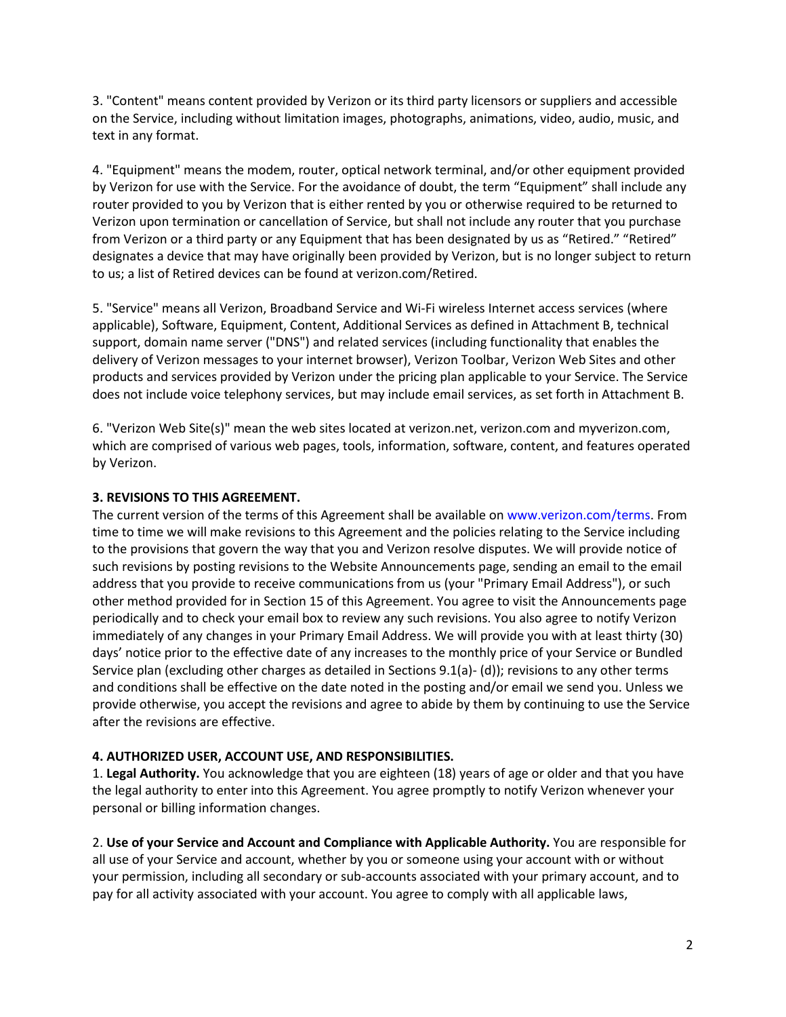3. "Content" means content provided by Verizon or its third party licensors or suppliers and accessible on the Service, including without limitation images, photographs, animations, video, audio, music, and text in any format.

4. "Equipment" means the modem, router, optical network terminal, and/or other equipment provided by Verizon for use with the Service. For the avoidance of doubt, the term "Equipment" shall include any router provided to you by Verizon that is either rented by you or otherwise required to be returned to Verizon upon termination or cancellation of Service, but shall not include any router that you purchase from Verizon or a third party or any Equipment that has been designated by us as "Retired." "Retired" designates a device that may have originally been provided by Verizon, but is no longer subject to return to us; a list of Retired devices can be found at verizon.com/Retired.

5. "Service" means all Verizon, Broadband Service and Wi-Fi wireless Internet access services (where applicable), Software, Equipment, Content, Additional Services as defined in Attachment B, technical support, domain name server ("DNS") and related services (including functionality that enables the delivery of Verizon messages to your internet browser), Verizon Toolbar, Verizon Web Sites and other products and services provided by Verizon under the pricing plan applicable to your Service. The Service does not include voice telephony services, but may include email services, as set forth in Attachment B.

6. "Verizon Web Site(s)" mean the web sites located at verizon.net, verizon.com and myverizon.com, which are comprised of various web pages, tools, information, software, content, and features operated by Verizon.

### **3. REVISIONS TO THIS AGREEMENT.**

The current version of the terms of this Agreement shall be available on www.verizon.com/terms. From time to time we will make revisions to this Agreement and the policies relating to the Service including to the provisions that govern the way that you and Verizon resolve disputes. We will provide notice of such revisions by posting revisions to the Website Announcements page, sending an email to the email address that you provide to receive communications from us (your "Primary Email Address"), or such other method provided for in Section 15 of this Agreement. You agree to visit the Announcements page periodically and to check your email box to review any such revisions. You also agree to notify Verizon immediately of any changes in your Primary Email Address. We will provide you with at least thirty (30) days' notice prior to the effective date of any increases to the monthly price of your Service or Bundled Service plan (excluding other charges as detailed in Sections 9.1(a)- (d)); revisions to any other terms and conditions shall be effective on the date noted in the posting and/or email we send you. Unless we provide otherwise, you accept the revisions and agree to abide by them by continuing to use the Service after the revisions are effective.

### **4. AUTHORIZED USER, ACCOUNT USE, AND RESPONSIBILITIES.**

1. **Legal Authority.** You acknowledge that you are eighteen (18) years of age or older and that you have the legal authority to enter into this Agreement. You agree promptly to notify Verizon whenever your personal or billing information changes.

2. **Use of your Service and Account and Compliance with Applicable Authority.** You are responsible for all use of your Service and account, whether by you or someone using your account with or without your permission, including all secondary or sub-accounts associated with your primary account, and to pay for all activity associated with your account. You agree to comply with all applicable laws,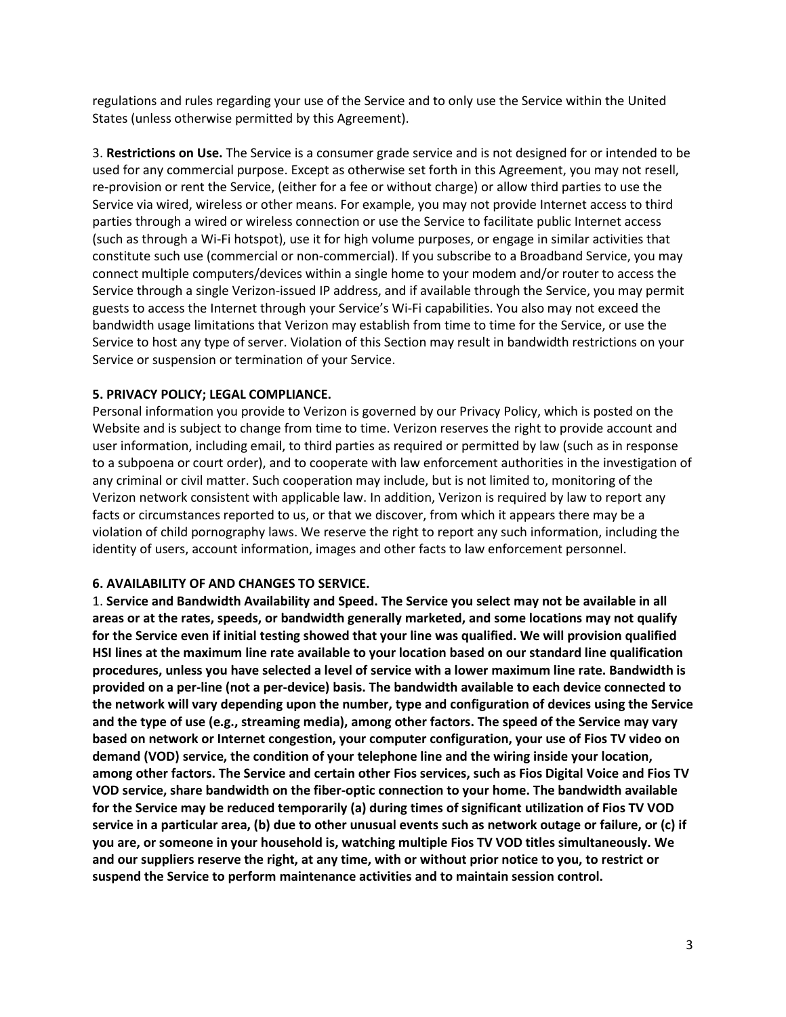regulations and rules regarding your use of the Service and to only use the Service within the United States (unless otherwise permitted by this Agreement).

3. **Restrictions on Use.** The Service is a consumer grade service and is not designed for or intended to be used for any commercial purpose. Except as otherwise set forth in this Agreement, you may not resell, re-provision or rent the Service, (either for a fee or without charge) or allow third parties to use the Service via wired, wireless or other means. For example, you may not provide Internet access to third parties through a wired or wireless connection or use the Service to facilitate public Internet access (such as through a Wi-Fi hotspot), use it for high volume purposes, or engage in similar activities that constitute such use (commercial or non-commercial). If you subscribe to a Broadband Service, you may connect multiple computers/devices within a single home to your modem and/or router to access the Service through a single Verizon-issued IP address, and if available through the Service, you may permit guests to access the Internet through your Service's Wi-Fi capabilities. You also may not exceed the bandwidth usage limitations that Verizon may establish from time to time for the Service, or use the Service to host any type of server. Violation of this Section may result in bandwidth restrictions on your Service or suspension or termination of your Service.

### **5. PRIVACY POLICY; LEGAL COMPLIANCE.**

Personal information you provide to Verizon is governed by our Privacy Policy, which is posted on the Website and is subject to change from time to time. Verizon reserves the right to provide account and user information, including email, to third parties as required or permitted by law (such as in response to a subpoena or court order), and to cooperate with law enforcement authorities in the investigation of any criminal or civil matter. Such cooperation may include, but is not limited to, monitoring of the Verizon network consistent with applicable law. In addition, Verizon is required by law to report any facts or circumstances reported to us, or that we discover, from which it appears there may be a violation of child pornography laws. We reserve the right to report any such information, including the identity of users, account information, images and other facts to law enforcement personnel.

#### **6. AVAILABILITY OF AND CHANGES TO SERVICE.**

1. **Service and Bandwidth Availability and Speed. The Service you select may not be available in all areas or at the rates, speeds, or bandwidth generally marketed, and some locations may not qualify for the Service even if initial testing showed that your line was qualified. We will provision qualified HSI lines at the maximum line rate available to your location based on our standard line qualification procedures, unless you have selected a level of service with a lower maximum line rate. Bandwidth is provided on a per-line (not a per-device) basis. The bandwidth available to each device connected to the network will vary depending upon the number, type and configuration of devices using the Service and the type of use (e.g., streaming media), among other factors. The speed of the Service may vary based on network or Internet congestion, your computer configuration, your use of Fios TV video on demand (VOD) service, the condition of your telephone line and the wiring inside your location, among other factors. The Service and certain other Fios services, such as Fios Digital Voice and Fios TV VOD service, share bandwidth on the fiber-optic connection to your home. The bandwidth available for the Service may be reduced temporarily (a) during times of significant utilization of Fios TV VOD service in a particular area, (b) due to other unusual events such as network outage or failure, or (c) if you are, or someone in your household is, watching multiple Fios TV VOD titles simultaneously. We and our suppliers reserve the right, at any time, with or without prior notice to you, to restrict or suspend the Service to perform maintenance activities and to maintain session control.**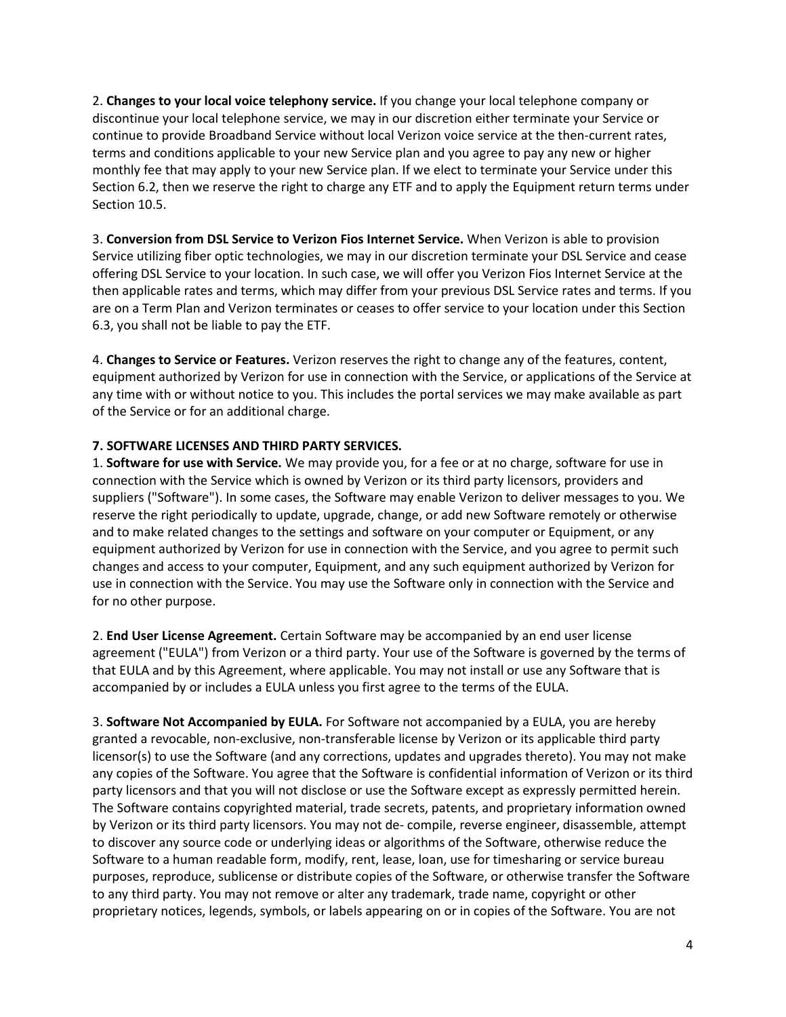2. **Changes to your local voice telephony service.** If you change your local telephone company or discontinue your local telephone service, we may in our discretion either terminate your Service or continue to provide Broadband Service without local Verizon voice service at the then-current rates, terms and conditions applicable to your new Service plan and you agree to pay any new or higher monthly fee that may apply to your new Service plan. If we elect to terminate your Service under this Section 6.2, then we reserve the right to charge any ETF and to apply the Equipment return terms under Section 10.5.

3. **Conversion from DSL Service to Verizon Fios Internet Service.** When Verizon is able to provision Service utilizing fiber optic technologies, we may in our discretion terminate your DSL Service and cease offering DSL Service to your location. In such case, we will offer you Verizon Fios Internet Service at the then applicable rates and terms, which may differ from your previous DSL Service rates and terms. If you are on a Term Plan and Verizon terminates or ceases to offer service to your location under this Section 6.3, you shall not be liable to pay the ETF.

4. **Changes to Service or Features.** Verizon reserves the right to change any of the features, content, equipment authorized by Verizon for use in connection with the Service, or applications of the Service at any time with or without notice to you. This includes the portal services we may make available as part of the Service or for an additional charge.

### **7. SOFTWARE LICENSES AND THIRD PARTY SERVICES.**

1. **Software for use with Service.** We may provide you, for a fee or at no charge, software for use in connection with the Service which is owned by Verizon or its third party licensors, providers and suppliers ("Software"). In some cases, the Software may enable Verizon to deliver messages to you. We reserve the right periodically to update, upgrade, change, or add new Software remotely or otherwise and to make related changes to the settings and software on your computer or Equipment, or any equipment authorized by Verizon for use in connection with the Service, and you agree to permit such changes and access to your computer, Equipment, and any such equipment authorized by Verizon for use in connection with the Service. You may use the Software only in connection with the Service and for no other purpose.

2. **End User License Agreement.** Certain Software may be accompanied by an end user license agreement ("EULA") from Verizon or a third party. Your use of the Software is governed by the terms of that EULA and by this Agreement, where applicable. You may not install or use any Software that is accompanied by or includes a EULA unless you first agree to the terms of the EULA.

3. **Software Not Accompanied by EULA.** For Software not accompanied by a EULA, you are hereby granted a revocable, non-exclusive, non-transferable license by Verizon or its applicable third party licensor(s) to use the Software (and any corrections, updates and upgrades thereto). You may not make any copies of the Software. You agree that the Software is confidential information of Verizon or its third party licensors and that you will not disclose or use the Software except as expressly permitted herein. The Software contains copyrighted material, trade secrets, patents, and proprietary information owned by Verizon or its third party licensors. You may not de- compile, reverse engineer, disassemble, attempt to discover any source code or underlying ideas or algorithms of the Software, otherwise reduce the Software to a human readable form, modify, rent, lease, loan, use for timesharing or service bureau purposes, reproduce, sublicense or distribute copies of the Software, or otherwise transfer the Software to any third party. You may not remove or alter any trademark, trade name, copyright or other proprietary notices, legends, symbols, or labels appearing on or in copies of the Software. You are not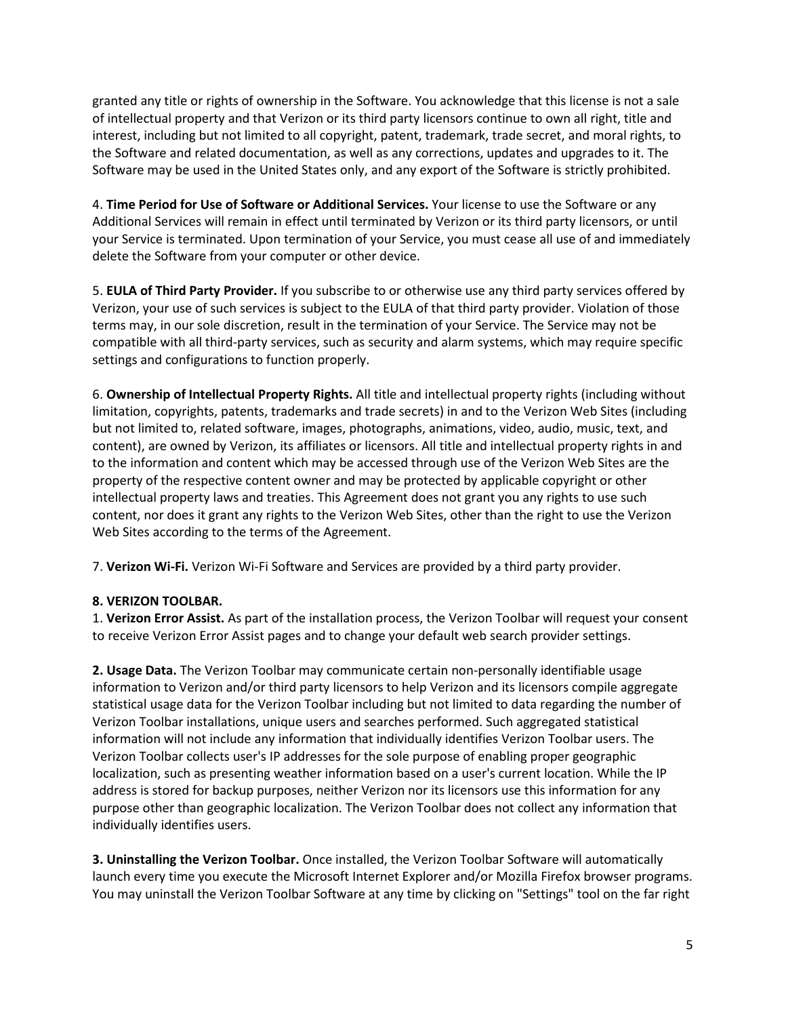granted any title or rights of ownership in the Software. You acknowledge that this license is not a sale of intellectual property and that Verizon or its third party licensors continue to own all right, title and interest, including but not limited to all copyright, patent, trademark, trade secret, and moral rights, to the Software and related documentation, as well as any corrections, updates and upgrades to it. The Software may be used in the United States only, and any export of the Software is strictly prohibited.

4. **Time Period for Use of Software or Additional Services.** Your license to use the Software or any Additional Services will remain in effect until terminated by Verizon or its third party licensors, or until your Service is terminated. Upon termination of your Service, you must cease all use of and immediately delete the Software from your computer or other device.

5. **EULA of Third Party Provider.** If you subscribe to or otherwise use any third party services offered by Verizon, your use of such services is subject to the EULA of that third party provider. Violation of those terms may, in our sole discretion, result in the termination of your Service. The Service may not be compatible with all third-party services, such as security and alarm systems, which may require specific settings and configurations to function properly.

6. **Ownership of Intellectual Property Rights.** All title and intellectual property rights (including without limitation, copyrights, patents, trademarks and trade secrets) in and to the Verizon Web Sites (including but not limited to, related software, images, photographs, animations, video, audio, music, text, and content), are owned by Verizon, its affiliates or licensors. All title and intellectual property rights in and to the information and content which may be accessed through use of the Verizon Web Sites are the property of the respective content owner and may be protected by applicable copyright or other intellectual property laws and treaties. This Agreement does not grant you any rights to use such content, nor does it grant any rights to the Verizon Web Sites, other than the right to use the Verizon Web Sites according to the terms of the Agreement.

7. **Verizon Wi-Fi.** Verizon Wi-Fi Software and Services are provided by a third party provider.

## **8. VERIZON TOOLBAR.**

1. **Verizon Error Assist.** As part of the installation process, the Verizon Toolbar will request your consent to receive Verizon Error Assist pages and to change your default web search provider settings.

**2. Usage Data.** The Verizon Toolbar may communicate certain non-personally identifiable usage information to Verizon and/or third party licensors to help Verizon and its licensors compile aggregate statistical usage data for the Verizon Toolbar including but not limited to data regarding the number of Verizon Toolbar installations, unique users and searches performed. Such aggregated statistical information will not include any information that individually identifies Verizon Toolbar users. The Verizon Toolbar collects user's IP addresses for the sole purpose of enabling proper geographic localization, such as presenting weather information based on a user's current location. While the IP address is stored for backup purposes, neither Verizon nor its licensors use this information for any purpose other than geographic localization. The Verizon Toolbar does not collect any information that individually identifies users.

**3. Uninstalling the Verizon Toolbar.** Once installed, the Verizon Toolbar Software will automatically launch every time you execute the Microsoft Internet Explorer and/or Mozilla Firefox browser programs. You may uninstall the Verizon Toolbar Software at any time by clicking on "Settings" tool on the far right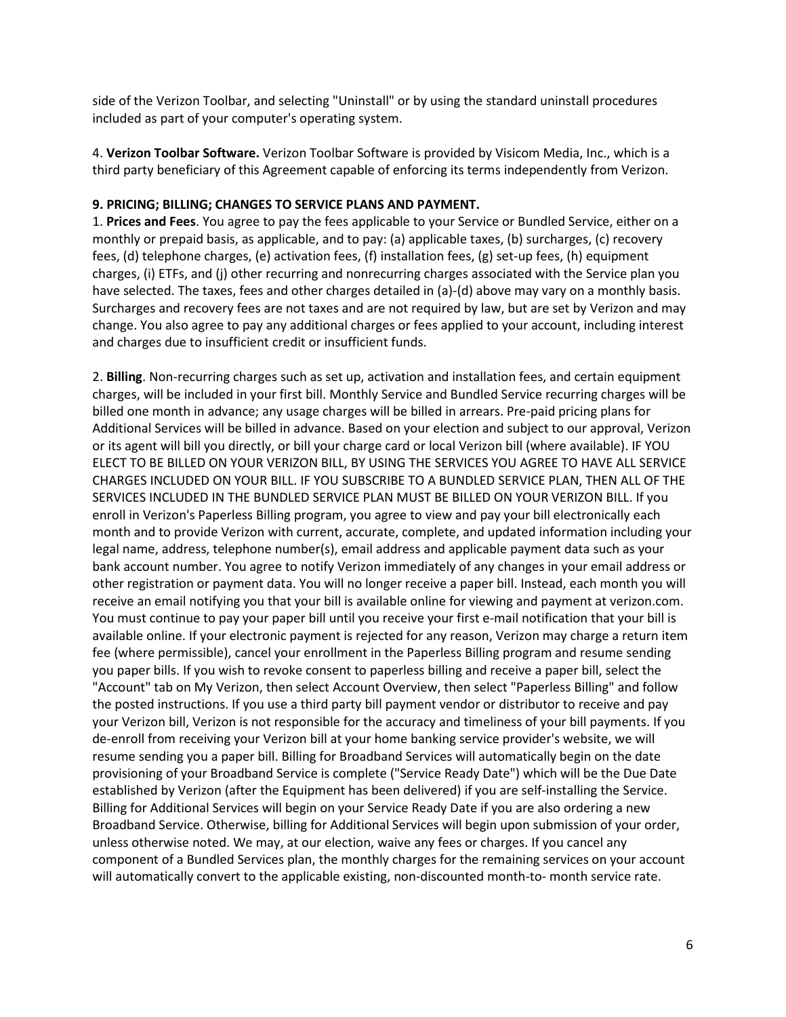side of the Verizon Toolbar, and selecting "Uninstall" or by using the standard uninstall procedures included as part of your computer's operating system.

4. **Verizon Toolbar Software.** Verizon Toolbar Software is provided by Visicom Media, Inc., which is a third party beneficiary of this Agreement capable of enforcing its terms independently from Verizon.

### **9. PRICING; BILLING; CHANGES TO SERVICE PLANS AND PAYMENT.**

1. **Prices and Fees**. You agree to pay the fees applicable to your Service or Bundled Service, either on a monthly or prepaid basis, as applicable, and to pay: (a) applicable taxes, (b) surcharges, (c) recovery fees, (d) telephone charges, (e) activation fees, (f) installation fees, (g) set-up fees, (h) equipment charges, (i) ETFs, and (j) other recurring and nonrecurring charges associated with the Service plan you have selected. The taxes, fees and other charges detailed in (a)-(d) above may vary on a monthly basis. Surcharges and recovery fees are not taxes and are not required by law, but are set by Verizon and may change. You also agree to pay any additional charges or fees applied to your account, including interest and charges due to insufficient credit or insufficient funds.

2. **Billing**. Non-recurring charges such as set up, activation and installation fees, and certain equipment charges, will be included in your first bill. Monthly Service and Bundled Service recurring charges will be billed one month in advance; any usage charges will be billed in arrears. Pre-paid pricing plans for Additional Services will be billed in advance. Based on your election and subject to our approval, Verizon or its agent will bill you directly, or bill your charge card or local Verizon bill (where available). IF YOU ELECT TO BE BILLED ON YOUR VERIZON BILL, BY USING THE SERVICES YOU AGREE TO HAVE ALL SERVICE CHARGES INCLUDED ON YOUR BILL. IF YOU SUBSCRIBE TO A BUNDLED SERVICE PLAN, THEN ALL OF THE SERVICES INCLUDED IN THE BUNDLED SERVICE PLAN MUST BE BILLED ON YOUR VERIZON BILL. If you enroll in Verizon's Paperless Billing program, you agree to view and pay your bill electronically each month and to provide Verizon with current, accurate, complete, and updated information including your legal name, address, telephone number(s), email address and applicable payment data such as your bank account number. You agree to notify Verizon immediately of any changes in your email address or other registration or payment data. You will no longer receive a paper bill. Instead, each month you will receive an email notifying you that your bill is available online for viewing and payment at verizon.com. You must continue to pay your paper bill until you receive your first e-mail notification that your bill is available online. If your electronic payment is rejected for any reason, Verizon may charge a return item fee (where permissible), cancel your enrollment in the Paperless Billing program and resume sending you paper bills. If you wish to revoke consent to paperless billing and receive a paper bill, select the "Account" tab on My Verizon, then select Account Overview, then select "Paperless Billing" and follow the posted instructions. If you use a third party bill payment vendor or distributor to receive and pay your Verizon bill, Verizon is not responsible for the accuracy and timeliness of your bill payments. If you de-enroll from receiving your Verizon bill at your home banking service provider's website, we will resume sending you a paper bill. Billing for Broadband Services will automatically begin on the date provisioning of your Broadband Service is complete ("Service Ready Date") which will be the Due Date established by Verizon (after the Equipment has been delivered) if you are self-installing the Service. Billing for Additional Services will begin on your Service Ready Date if you are also ordering a new Broadband Service. Otherwise, billing for Additional Services will begin upon submission of your order, unless otherwise noted. We may, at our election, waive any fees or charges. If you cancel any component of a Bundled Services plan, the monthly charges for the remaining services on your account will automatically convert to the applicable existing, non-discounted month-to- month service rate.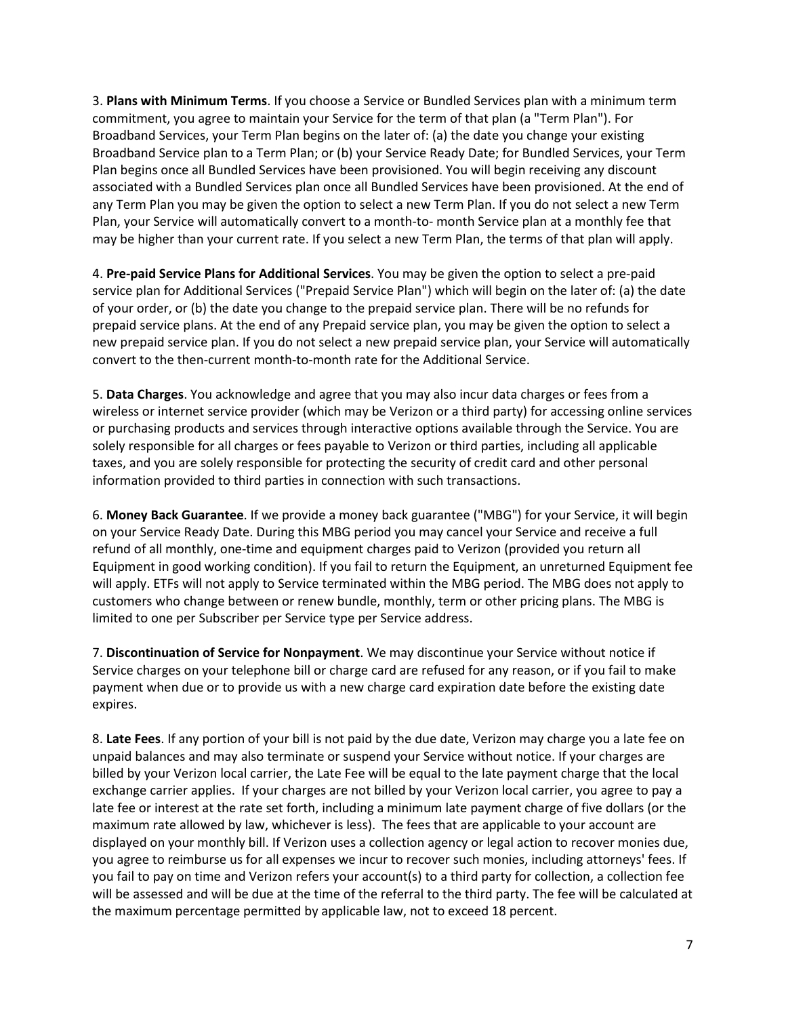3. **Plans with Minimum Terms**. If you choose a Service or Bundled Services plan with a minimum term commitment, you agree to maintain your Service for the term of that plan (a "Term Plan"). For Broadband Services, your Term Plan begins on the later of: (a) the date you change your existing Broadband Service plan to a Term Plan; or (b) your Service Ready Date; for Bundled Services, your Term Plan begins once all Bundled Services have been provisioned. You will begin receiving any discount associated with a Bundled Services plan once all Bundled Services have been provisioned. At the end of any Term Plan you may be given the option to select a new Term Plan. If you do not select a new Term Plan, your Service will automatically convert to a month-to- month Service plan at a monthly fee that may be higher than your current rate. If you select a new Term Plan, the terms of that plan will apply.

4. **Pre-paid Service Plans for Additional Services**. You may be given the option to select a pre-paid service plan for Additional Services ("Prepaid Service Plan") which will begin on the later of: (a) the date of your order, or (b) the date you change to the prepaid service plan. There will be no refunds for prepaid service plans. At the end of any Prepaid service plan, you may be given the option to select a new prepaid service plan. If you do not select a new prepaid service plan, your Service will automatically convert to the then-current month-to-month rate for the Additional Service.

5. **Data Charges**. You acknowledge and agree that you may also incur data charges or fees from a wireless or internet service provider (which may be Verizon or a third party) for accessing online services or purchasing products and services through interactive options available through the Service. You are solely responsible for all charges or fees payable to Verizon or third parties, including all applicable taxes, and you are solely responsible for protecting the security of credit card and other personal information provided to third parties in connection with such transactions.

6. **Money Back Guarantee**. If we provide a money back guarantee ("MBG") for your Service, it will begin on your Service Ready Date. During this MBG period you may cancel your Service and receive a full refund of all monthly, one-time and equipment charges paid to Verizon (provided you return all Equipment in good working condition). If you fail to return the Equipment, an unreturned Equipment fee will apply. ETFs will not apply to Service terminated within the MBG period. The MBG does not apply to customers who change between or renew bundle, monthly, term or other pricing plans. The MBG is limited to one per Subscriber per Service type per Service address.

7. **Discontinuation of Service for Nonpayment**. We may discontinue your Service without notice if Service charges on your telephone bill or charge card are refused for any reason, or if you fail to make payment when due or to provide us with a new charge card expiration date before the existing date expires.

8. **Late Fees**. If any portion of your bill is not paid by the due date, Verizon may charge you a late fee on unpaid balances and may also terminate or suspend your Service without notice. If your charges are billed by your Verizon local carrier, the Late Fee will be equal to the late payment charge that the local exchange carrier applies. If your charges are not billed by your Verizon local carrier, you agree to pay a late fee or interest at the rate set forth, including a minimum late payment charge of five dollars (or the maximum rate allowed by law, whichever is less). The fees that are applicable to your account are displayed on your monthly bill. If Verizon uses a collection agency or legal action to recover monies due, you agree to reimburse us for all expenses we incur to recover such monies, including attorneys' fees. If you fail to pay on time and Verizon refers your account(s) to a third party for collection, a collection fee will be assessed and will be due at the time of the referral to the third party. The fee will be calculated at the maximum percentage permitted by applicable law, not to exceed 18 percent.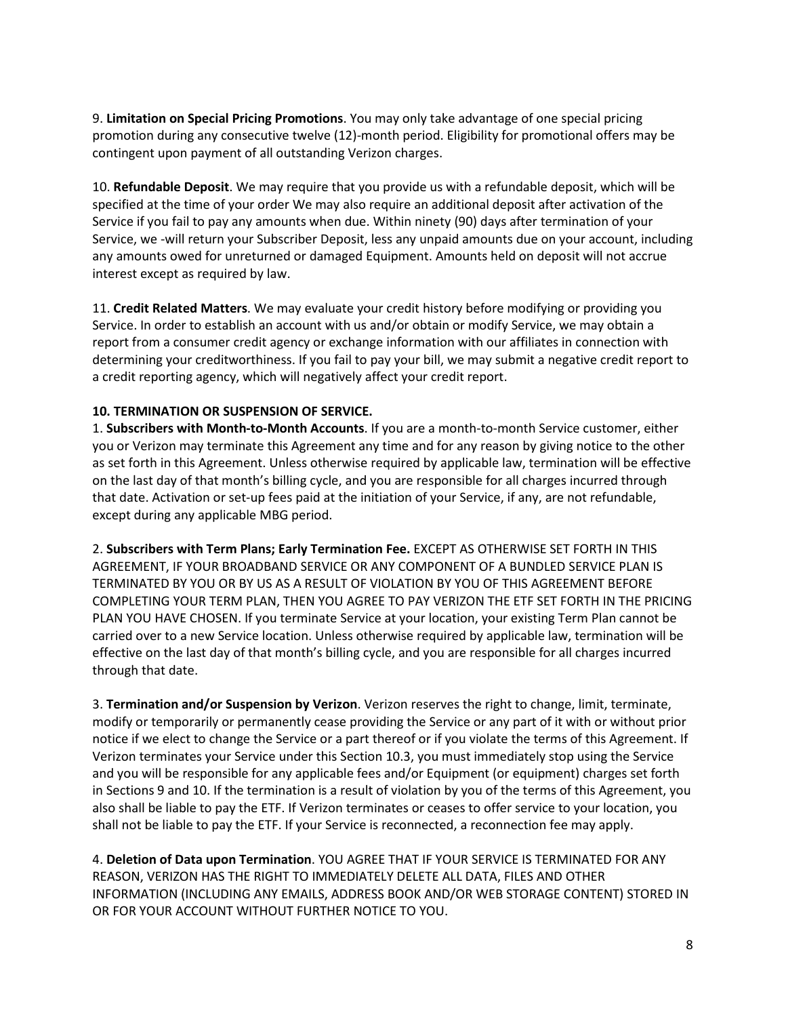9. **Limitation on Special Pricing Promotions**. You may only take advantage of one special pricing promotion during any consecutive twelve (12)-month period. Eligibility for promotional offers may be contingent upon payment of all outstanding Verizon charges.

10. **Refundable Deposit**. We may require that you provide us with a refundable deposit, which will be specified at the time of your order We may also require an additional deposit after activation of the Service if you fail to pay any amounts when due. Within ninety (90) days after termination of your Service, we -will return your Subscriber Deposit, less any unpaid amounts due on your account, including any amounts owed for unreturned or damaged Equipment. Amounts held on deposit will not accrue interest except as required by law.

11. **Credit Related Matters**. We may evaluate your credit history before modifying or providing you Service. In order to establish an account with us and/or obtain or modify Service, we may obtain a report from a consumer credit agency or exchange information with our affiliates in connection with determining your creditworthiness. If you fail to pay your bill, we may submit a negative credit report to a credit reporting agency, which will negatively affect your credit report.

### **10. TERMINATION OR SUSPENSION OF SERVICE.**

1. **Subscribers with Month-to-Month Accounts**. If you are a month-to-month Service customer, either you or Verizon may terminate this Agreement any time and for any reason by giving notice to the other as set forth in this Agreement. Unless otherwise required by applicable law, termination will be effective on the last day of that month's billing cycle, and you are responsible for all charges incurred through that date. Activation or set-up fees paid at the initiation of your Service, if any, are not refundable, except during any applicable MBG period.

2. **Subscribers with Term Plans; Early Termination Fee.** EXCEPT AS OTHERWISE SET FORTH IN THIS AGREEMENT, IF YOUR BROADBAND SERVICE OR ANY COMPONENT OF A BUNDLED SERVICE PLAN IS TERMINATED BY YOU OR BY US AS A RESULT OF VIOLATION BY YOU OF THIS AGREEMENT BEFORE COMPLETING YOUR TERM PLAN, THEN YOU AGREE TO PAY VERIZON THE ETF SET FORTH IN THE PRICING PLAN YOU HAVE CHOSEN. If you terminate Service at your location, your existing Term Plan cannot be carried over to a new Service location. Unless otherwise required by applicable law, termination will be effective on the last day of that month's billing cycle, and you are responsible for all charges incurred through that date.

3. **Termination and/or Suspension by Verizon**. Verizon reserves the right to change, limit, terminate, modify or temporarily or permanently cease providing the Service or any part of it with or without prior notice if we elect to change the Service or a part thereof or if you violate the terms of this Agreement. If Verizon terminates your Service under this Section 10.3, you must immediately stop using the Service and you will be responsible for any applicable fees and/or Equipment (or equipment) charges set forth in Sections 9 and 10. If the termination is a result of violation by you of the terms of this Agreement, you also shall be liable to pay the ETF. If Verizon terminates or ceases to offer service to your location, you shall not be liable to pay the ETF. If your Service is reconnected, a reconnection fee may apply.

4. **Deletion of Data upon Termination**. YOU AGREE THAT IF YOUR SERVICE IS TERMINATED FOR ANY REASON, VERIZON HAS THE RIGHT TO IMMEDIATELY DELETE ALL DATA, FILES AND OTHER INFORMATION (INCLUDING ANY EMAILS, ADDRESS BOOK AND/OR WEB STORAGE CONTENT) STORED IN OR FOR YOUR ACCOUNT WITHOUT FURTHER NOTICE TO YOU.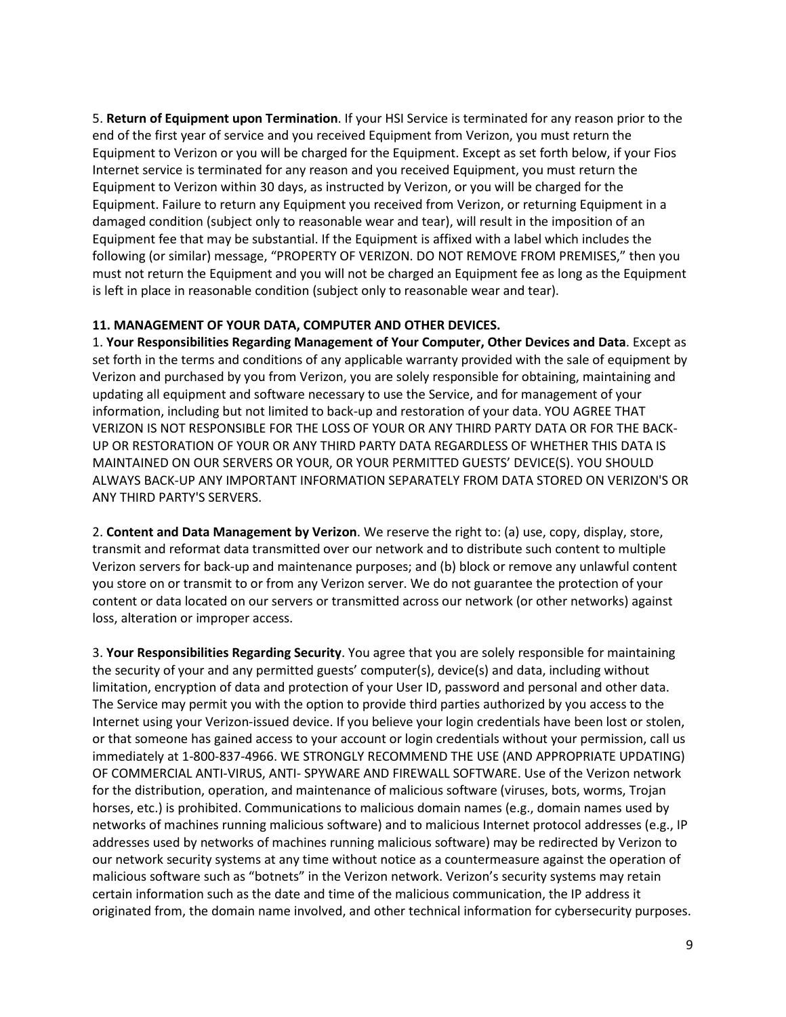5. **Return of Equipment upon Termination**. If your HSI Service is terminated for any reason prior to the end of the first year of service and you received Equipment from Verizon, you must return the Equipment to Verizon or you will be charged for the Equipment. Except as set forth below, if your Fios Internet service is terminated for any reason and you received Equipment, you must return the Equipment to Verizon within 30 days, as instructed by Verizon, or you will be charged for the Equipment. Failure to return any Equipment you received from Verizon, or returning Equipment in a damaged condition (subject only to reasonable wear and tear), will result in the imposition of an Equipment fee that may be substantial. If the Equipment is affixed with a label which includes the following (or similar) message, "PROPERTY OF VERIZON. DO NOT REMOVE FROM PREMISES," then you must not return the Equipment and you will not be charged an Equipment fee as long as the Equipment is left in place in reasonable condition (subject only to reasonable wear and tear).

### **11. MANAGEMENT OF YOUR DATA, COMPUTER AND OTHER DEVICES.**

1. **Your Responsibilities Regarding Management of Your Computer, Other Devices and Data**. Except as set forth in the terms and conditions of any applicable warranty provided with the sale of equipment by Verizon and purchased by you from Verizon, you are solely responsible for obtaining, maintaining and updating all equipment and software necessary to use the Service, and for management of your information, including but not limited to back-up and restoration of your data. YOU AGREE THAT VERIZON IS NOT RESPONSIBLE FOR THE LOSS OF YOUR OR ANY THIRD PARTY DATA OR FOR THE BACK-UP OR RESTORATION OF YOUR OR ANY THIRD PARTY DATA REGARDLESS OF WHETHER THIS DATA IS MAINTAINED ON OUR SERVERS OR YOUR, OR YOUR PERMITTED GUESTS' DEVICE(S). YOU SHOULD ALWAYS BACK-UP ANY IMPORTANT INFORMATION SEPARATELY FROM DATA STORED ON VERIZON'S OR ANY THIRD PARTY'S SERVERS.

2. **Content and Data Management by Verizon**. We reserve the right to: (a) use, copy, display, store, transmit and reformat data transmitted over our network and to distribute such content to multiple Verizon servers for back-up and maintenance purposes; and (b) block or remove any unlawful content you store on or transmit to or from any Verizon server. We do not guarantee the protection of your content or data located on our servers or transmitted across our network (or other networks) against loss, alteration or improper access.

3. **Your Responsibilities Regarding Security**. You agree that you are solely responsible for maintaining the security of your and any permitted guests' computer(s), device(s) and data, including without limitation, encryption of data and protection of your User ID, password and personal and other data. The Service may permit you with the option to provide third parties authorized by you access to the Internet using your Verizon-issued device. If you believe your login credentials have been lost or stolen, or that someone has gained access to your account or login credentials without your permission, call us immediately at 1-800-837-4966. WE STRONGLY RECOMMEND THE USE (AND APPROPRIATE UPDATING) OF COMMERCIAL ANTI-VIRUS, ANTI- SPYWARE AND FIREWALL SOFTWARE. Use of the Verizon network for the distribution, operation, and maintenance of malicious software (viruses, bots, worms, Trojan horses, etc.) is prohibited. Communications to malicious domain names (e.g., domain names used by networks of machines running malicious software) and to malicious Internet protocol addresses (e.g., IP addresses used by networks of machines running malicious software) may be redirected by Verizon to our network security systems at any time without notice as a countermeasure against the operation of malicious software such as "botnets" in the Verizon network. Verizon's security systems may retain certain information such as the date and time of the malicious communication, the IP address it originated from, the domain name involved, and other technical information for cybersecurity purposes.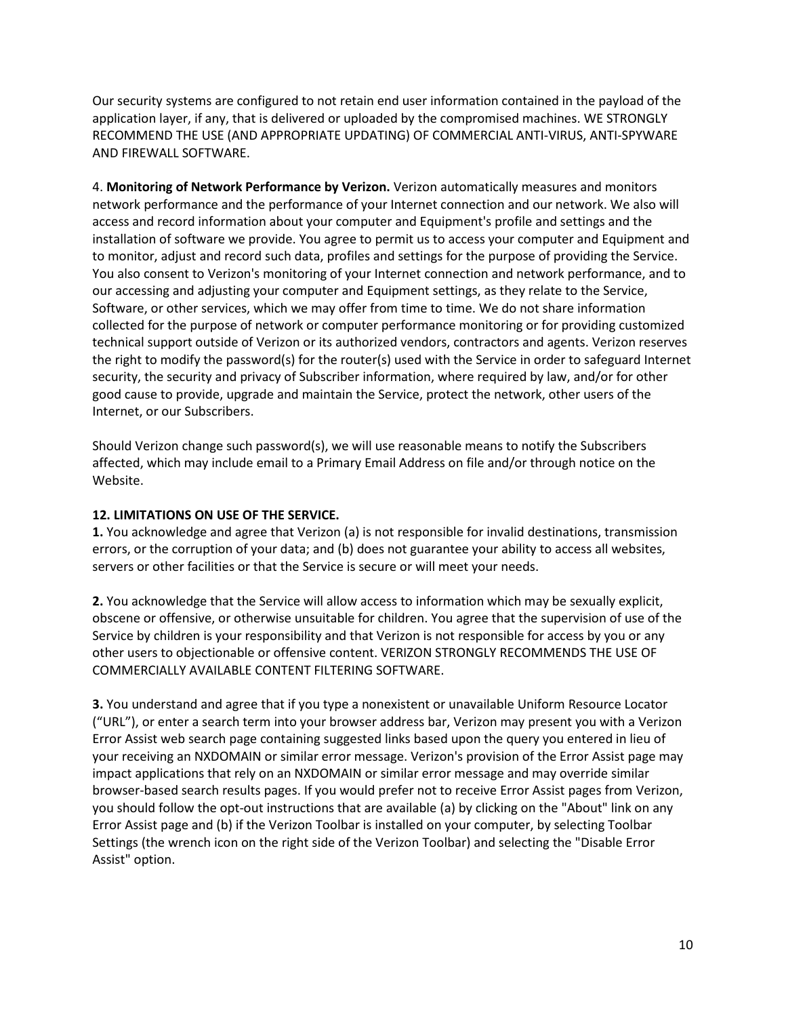Our security systems are configured to not retain end user information contained in the payload of the application layer, if any, that is delivered or uploaded by the compromised machines. WE STRONGLY RECOMMEND THE USE (AND APPROPRIATE UPDATING) OF COMMERCIAL ANTI-VIRUS, ANTI-SPYWARE AND FIREWALL SOFTWARE.

4. **Monitoring of Network Performance by Verizon.** Verizon automatically measures and monitors network performance and the performance of your Internet connection and our network. We also will access and record information about your computer and Equipment's profile and settings and the installation of software we provide. You agree to permit us to access your computer and Equipment and to monitor, adjust and record such data, profiles and settings for the purpose of providing the Service. You also consent to Verizon's monitoring of your Internet connection and network performance, and to our accessing and adjusting your computer and Equipment settings, as they relate to the Service, Software, or other services, which we may offer from time to time. We do not share information collected for the purpose of network or computer performance monitoring or for providing customized technical support outside of Verizon or its authorized vendors, contractors and agents. Verizon reserves the right to modify the password(s) for the router(s) used with the Service in order to safeguard Internet security, the security and privacy of Subscriber information, where required by law, and/or for other good cause to provide, upgrade and maintain the Service, protect the network, other users of the Internet, or our Subscribers.

Should Verizon change such password(s), we will use reasonable means to notify the Subscribers affected, which may include email to a Primary Email Address on file and/or through notice on the Website.

## **12. LIMITATIONS ON USE OF THE SERVICE.**

**1.** You acknowledge and agree that Verizon (a) is not responsible for invalid destinations, transmission errors, or the corruption of your data; and (b) does not guarantee your ability to access all websites, servers or other facilities or that the Service is secure or will meet your needs.

**2.** You acknowledge that the Service will allow access to information which may be sexually explicit, obscene or offensive, or otherwise unsuitable for children. You agree that the supervision of use of the Service by children is your responsibility and that Verizon is not responsible for access by you or any other users to objectionable or offensive content. VERIZON STRONGLY RECOMMENDS THE USE OF COMMERCIALLY AVAILABLE CONTENT FILTERING SOFTWARE.

**3.** You understand and agree that if you type a nonexistent or unavailable Uniform Resource Locator ("URL"), or enter a search term into your browser address bar, Verizon may present you with a Verizon Error Assist web search page containing suggested links based upon the query you entered in lieu of your receiving an NXDOMAIN or similar error message. Verizon's provision of the Error Assist page may impact applications that rely on an NXDOMAIN or similar error message and may override similar browser-based search results pages. If you would prefer not to receive Error Assist pages from Verizon, you should follow the opt-out instructions that are available (a) by clicking on the "About" link on any Error Assist page and (b) if the Verizon Toolbar is installed on your computer, by selecting Toolbar Settings (the wrench icon on the right side of the Verizon Toolbar) and selecting the "Disable Error Assist" option.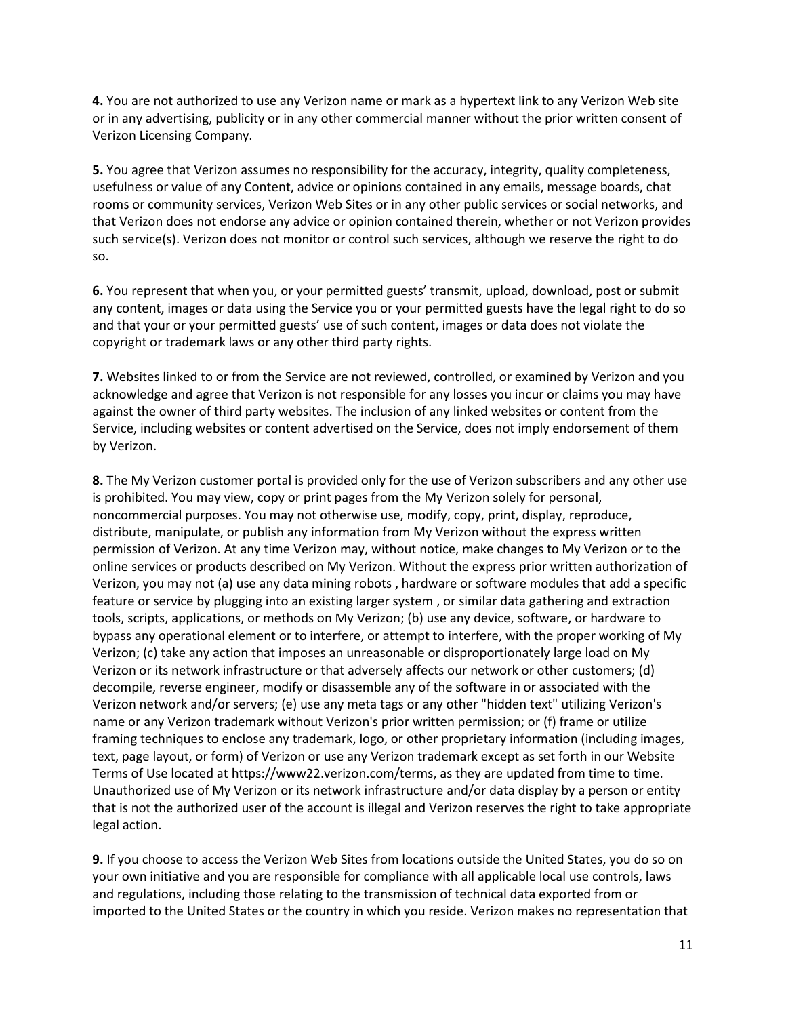**4.** You are not authorized to use any Verizon name or mark as a hypertext link to any Verizon Web site or in any advertising, publicity or in any other commercial manner without the prior written consent of Verizon Licensing Company.

**5.** You agree that Verizon assumes no responsibility for the accuracy, integrity, quality completeness, usefulness or value of any Content, advice or opinions contained in any emails, message boards, chat rooms or community services, Verizon Web Sites or in any other public services or social networks, and that Verizon does not endorse any advice or opinion contained therein, whether or not Verizon provides such service(s). Verizon does not monitor or control such services, although we reserve the right to do so.

**6.** You represent that when you, or your permitted guests' transmit, upload, download, post or submit any content, images or data using the Service you or your permitted guests have the legal right to do so and that your or your permitted guests' use of such content, images or data does not violate the copyright or trademark laws or any other third party rights.

**7.** Websites linked to or from the Service are not reviewed, controlled, or examined by Verizon and you acknowledge and agree that Verizon is not responsible for any losses you incur or claims you may have against the owner of third party websites. The inclusion of any linked websites or content from the Service, including websites or content advertised on the Service, does not imply endorsement of them by Verizon.

**8.** The My Verizon customer portal is provided only for the use of Verizon subscribers and any other use is prohibited. You may view, copy or print pages from the My Verizon solely for personal, noncommercial purposes. You may not otherwise use, modify, copy, print, display, reproduce, distribute, manipulate, or publish any information from My Verizon without the express written permission of Verizon. At any time Verizon may, without notice, make changes to My Verizon or to the online services or products described on My Verizon. Without the express prior written authorization of Verizon, you may not (a) use any data mining robots , hardware or software modules that add a specific feature or service by plugging into an existing larger system , or similar data gathering and extraction tools, scripts, applications, or methods on My Verizon; (b) use any device, software, or hardware to bypass any operational element or to interfere, or attempt to interfere, with the proper working of My Verizon; (c) take any action that imposes an unreasonable or disproportionately large load on My Verizon or its network infrastructure or that adversely affects our network or other customers; (d) decompile, reverse engineer, modify or disassemble any of the software in or associated with the Verizon network and/or servers; (e) use any meta tags or any other "hidden text" utilizing Verizon's name or any Verizon trademark without Verizon's prior written permission; or (f) frame or utilize framing techniques to enclose any trademark, logo, or other proprietary information (including images, text, page layout, or form) of Verizon or use any Verizon trademark except as set forth in our Website Terms of Use located at https://www22.verizon.com/terms, as they are updated from time to time. Unauthorized use of My Verizon or its network infrastructure and/or data display by a person or entity that is not the authorized user of the account is illegal and Verizon reserves the right to take appropriate legal action.

**9.** If you choose to access the Verizon Web Sites from locations outside the United States, you do so on your own initiative and you are responsible for compliance with all applicable local use controls, laws and regulations, including those relating to the transmission of technical data exported from or imported to the United States or the country in which you reside. Verizon makes no representation that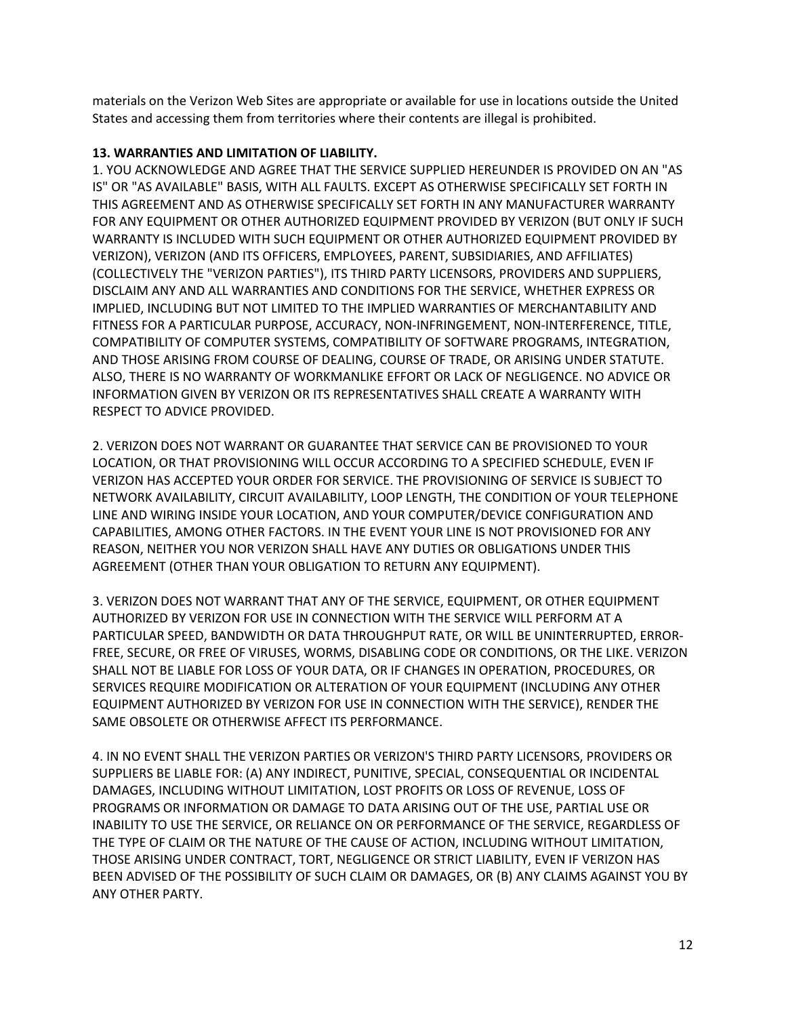materials on the Verizon Web Sites are appropriate or available for use in locations outside the United States and accessing them from territories where their contents are illegal is prohibited.

### **13. WARRANTIES AND LIMITATION OF LIABILITY.**

1. YOU ACKNOWLEDGE AND AGREE THAT THE SERVICE SUPPLIED HEREUNDER IS PROVIDED ON AN "AS IS" OR "AS AVAILABLE" BASIS, WITH ALL FAULTS. EXCEPT AS OTHERWISE SPECIFICALLY SET FORTH IN THIS AGREEMENT AND AS OTHERWISE SPECIFICALLY SET FORTH IN ANY MANUFACTURER WARRANTY FOR ANY EQUIPMENT OR OTHER AUTHORIZED EQUIPMENT PROVIDED BY VERIZON (BUT ONLY IF SUCH WARRANTY IS INCLUDED WITH SUCH EQUIPMENT OR OTHER AUTHORIZED EQUIPMENT PROVIDED BY VERIZON), VERIZON (AND ITS OFFICERS, EMPLOYEES, PARENT, SUBSIDIARIES, AND AFFILIATES) (COLLECTIVELY THE "VERIZON PARTIES"), ITS THIRD PARTY LICENSORS, PROVIDERS AND SUPPLIERS, DISCLAIM ANY AND ALL WARRANTIES AND CONDITIONS FOR THE SERVICE, WHETHER EXPRESS OR IMPLIED, INCLUDING BUT NOT LIMITED TO THE IMPLIED WARRANTIES OF MERCHANTABILITY AND FITNESS FOR A PARTICULAR PURPOSE, ACCURACY, NON-INFRINGEMENT, NON-INTERFERENCE, TITLE, COMPATIBILITY OF COMPUTER SYSTEMS, COMPATIBILITY OF SOFTWARE PROGRAMS, INTEGRATION, AND THOSE ARISING FROM COURSE OF DEALING, COURSE OF TRADE, OR ARISING UNDER STATUTE. ALSO, THERE IS NO WARRANTY OF WORKMANLIKE EFFORT OR LACK OF NEGLIGENCE. NO ADVICE OR INFORMATION GIVEN BY VERIZON OR ITS REPRESENTATIVES SHALL CREATE A WARRANTY WITH RESPECT TO ADVICE PROVIDED.

2. VERIZON DOES NOT WARRANT OR GUARANTEE THAT SERVICE CAN BE PROVISIONED TO YOUR LOCATION, OR THAT PROVISIONING WILL OCCUR ACCORDING TO A SPECIFIED SCHEDULE, EVEN IF VERIZON HAS ACCEPTED YOUR ORDER FOR SERVICE. THE PROVISIONING OF SERVICE IS SUBJECT TO NETWORK AVAILABILITY, CIRCUIT AVAILABILITY, LOOP LENGTH, THE CONDITION OF YOUR TELEPHONE LINE AND WIRING INSIDE YOUR LOCATION, AND YOUR COMPUTER/DEVICE CONFIGURATION AND CAPABILITIES, AMONG OTHER FACTORS. IN THE EVENT YOUR LINE IS NOT PROVISIONED FOR ANY REASON, NEITHER YOU NOR VERIZON SHALL HAVE ANY DUTIES OR OBLIGATIONS UNDER THIS AGREEMENT (OTHER THAN YOUR OBLIGATION TO RETURN ANY EQUIPMENT).

3. VERIZON DOES NOT WARRANT THAT ANY OF THE SERVICE, EQUIPMENT, OR OTHER EQUIPMENT AUTHORIZED BY VERIZON FOR USE IN CONNECTION WITH THE SERVICE WILL PERFORM AT A PARTICULAR SPEED, BANDWIDTH OR DATA THROUGHPUT RATE, OR WILL BE UNINTERRUPTED, ERROR-FREE, SECURE, OR FREE OF VIRUSES, WORMS, DISABLING CODE OR CONDITIONS, OR THE LIKE. VERIZON SHALL NOT BE LIABLE FOR LOSS OF YOUR DATA, OR IF CHANGES IN OPERATION, PROCEDURES, OR SERVICES REQUIRE MODIFICATION OR ALTERATION OF YOUR EQUIPMENT (INCLUDING ANY OTHER EQUIPMENT AUTHORIZED BY VERIZON FOR USE IN CONNECTION WITH THE SERVICE), RENDER THE SAME OBSOLETE OR OTHERWISE AFFECT ITS PERFORMANCE.

4. IN NO EVENT SHALL THE VERIZON PARTIES OR VERIZON'S THIRD PARTY LICENSORS, PROVIDERS OR SUPPLIERS BE LIABLE FOR: (A) ANY INDIRECT, PUNITIVE, SPECIAL, CONSEQUENTIAL OR INCIDENTAL DAMAGES, INCLUDING WITHOUT LIMITATION, LOST PROFITS OR LOSS OF REVENUE, LOSS OF PROGRAMS OR INFORMATION OR DAMAGE TO DATA ARISING OUT OF THE USE, PARTIAL USE OR INABILITY TO USE THE SERVICE, OR RELIANCE ON OR PERFORMANCE OF THE SERVICE, REGARDLESS OF THE TYPE OF CLAIM OR THE NATURE OF THE CAUSE OF ACTION, INCLUDING WITHOUT LIMITATION, THOSE ARISING UNDER CONTRACT, TORT, NEGLIGENCE OR STRICT LIABILITY, EVEN IF VERIZON HAS BEEN ADVISED OF THE POSSIBILITY OF SUCH CLAIM OR DAMAGES, OR (B) ANY CLAIMS AGAINST YOU BY ANY OTHER PARTY.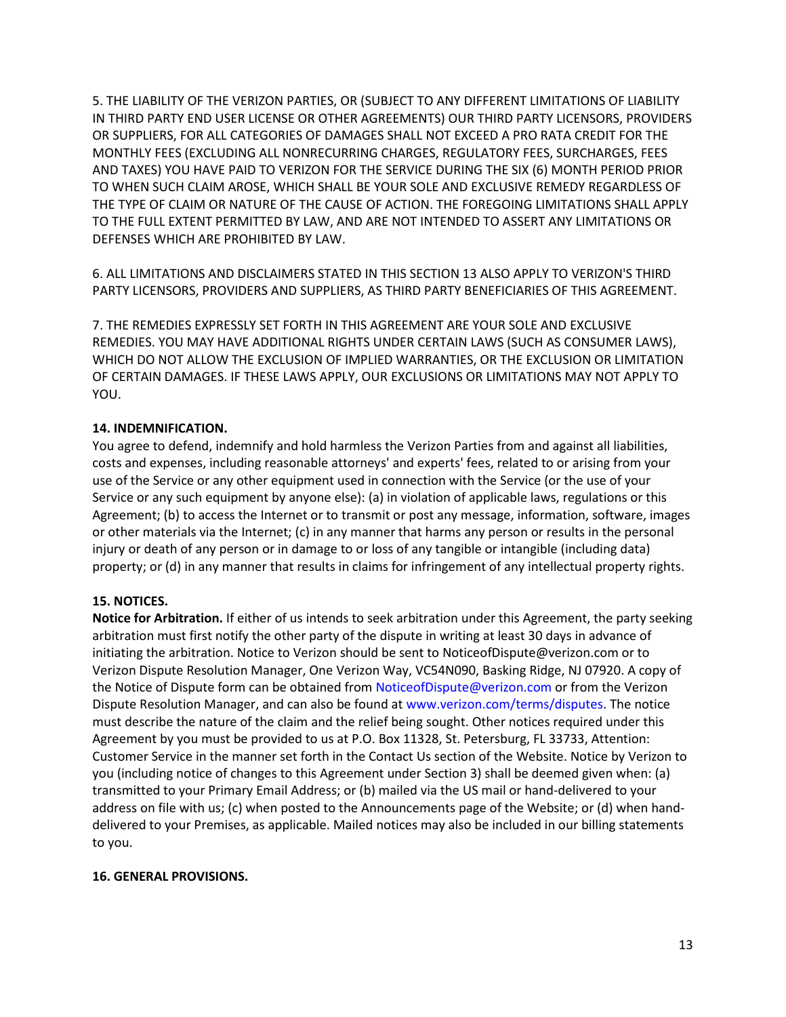5. THE LIABILITY OF THE VERIZON PARTIES, OR (SUBJECT TO ANY DIFFERENT LIMITATIONS OF LIABILITY IN THIRD PARTY END USER LICENSE OR OTHER AGREEMENTS) OUR THIRD PARTY LICENSORS, PROVIDERS OR SUPPLIERS, FOR ALL CATEGORIES OF DAMAGES SHALL NOT EXCEED A PRO RATA CREDIT FOR THE MONTHLY FEES (EXCLUDING ALL NONRECURRING CHARGES, REGULATORY FEES, SURCHARGES, FEES AND TAXES) YOU HAVE PAID TO VERIZON FOR THE SERVICE DURING THE SIX (6) MONTH PERIOD PRIOR TO WHEN SUCH CLAIM AROSE, WHICH SHALL BE YOUR SOLE AND EXCLUSIVE REMEDY REGARDLESS OF THE TYPE OF CLAIM OR NATURE OF THE CAUSE OF ACTION. THE FOREGOING LIMITATIONS SHALL APPLY TO THE FULL EXTENT PERMITTED BY LAW, AND ARE NOT INTENDED TO ASSERT ANY LIMITATIONS OR DEFENSES WHICH ARE PROHIBITED BY LAW.

6. ALL LIMITATIONS AND DISCLAIMERS STATED IN THIS SECTION 13 ALSO APPLY TO VERIZON'S THIRD PARTY LICENSORS, PROVIDERS AND SUPPLIERS, AS THIRD PARTY BENEFICIARIES OF THIS AGREEMENT.

7. THE REMEDIES EXPRESSLY SET FORTH IN THIS AGREEMENT ARE YOUR SOLE AND EXCLUSIVE REMEDIES. YOU MAY HAVE ADDITIONAL RIGHTS UNDER CERTAIN LAWS (SUCH AS CONSUMER LAWS), WHICH DO NOT ALLOW THE EXCLUSION OF IMPLIED WARRANTIES, OR THE EXCLUSION OR LIMITATION OF CERTAIN DAMAGES. IF THESE LAWS APPLY, OUR EXCLUSIONS OR LIMITATIONS MAY NOT APPLY TO YOU.

### **14. INDEMNIFICATION.**

You agree to defend, indemnify and hold harmless the Verizon Parties from and against all liabilities, costs and expenses, including reasonable attorneys' and experts' fees, related to or arising from your use of the Service or any other equipment used in connection with the Service (or the use of your Service or any such equipment by anyone else): (a) in violation of applicable laws, regulations or this Agreement; (b) to access the Internet or to transmit or post any message, information, software, images or other materials via the Internet; (c) in any manner that harms any person or results in the personal injury or death of any person or in damage to or loss of any tangible or intangible (including data) property; or (d) in any manner that results in claims for infringement of any intellectual property rights.

### **15. NOTICES.**

**Notice for Arbitration.** If either of us intends to seek arbitration under this Agreement, the party seeking arbitration must first notify the other party of the dispute in writing at least 30 days in advance of initiating the arbitration. Notice to Verizon should be sent to NoticeofDispute@verizon.com or to Verizon Dispute Resolution Manager, One Verizon Way, VC54N090, Basking Ridge, NJ 07920. A copy of the Notice of Dispute form can be obtained from NoticeofDispute@verizon.com or from the Verizon Dispute Resolution Manager, and can also be found at www.verizon.com/terms/disputes. The notice must describe the nature of the claim and the relief being sought. Other notices required under this Agreement by you must be provided to us at P.O. Box 11328, St. Petersburg, FL 33733, Attention: Customer Service in the manner set forth in the Contact Us section of the Website. Notice by Verizon to you (including notice of changes to this Agreement under Section 3) shall be deemed given when: (a) transmitted to your Primary Email Address; or (b) mailed via the US mail or hand-delivered to your address on file with us; (c) when posted to the Announcements page of the Website; or (d) when handdelivered to your Premises, as applicable. Mailed notices may also be included in our billing statements to you.

### **16. GENERAL PROVISIONS.**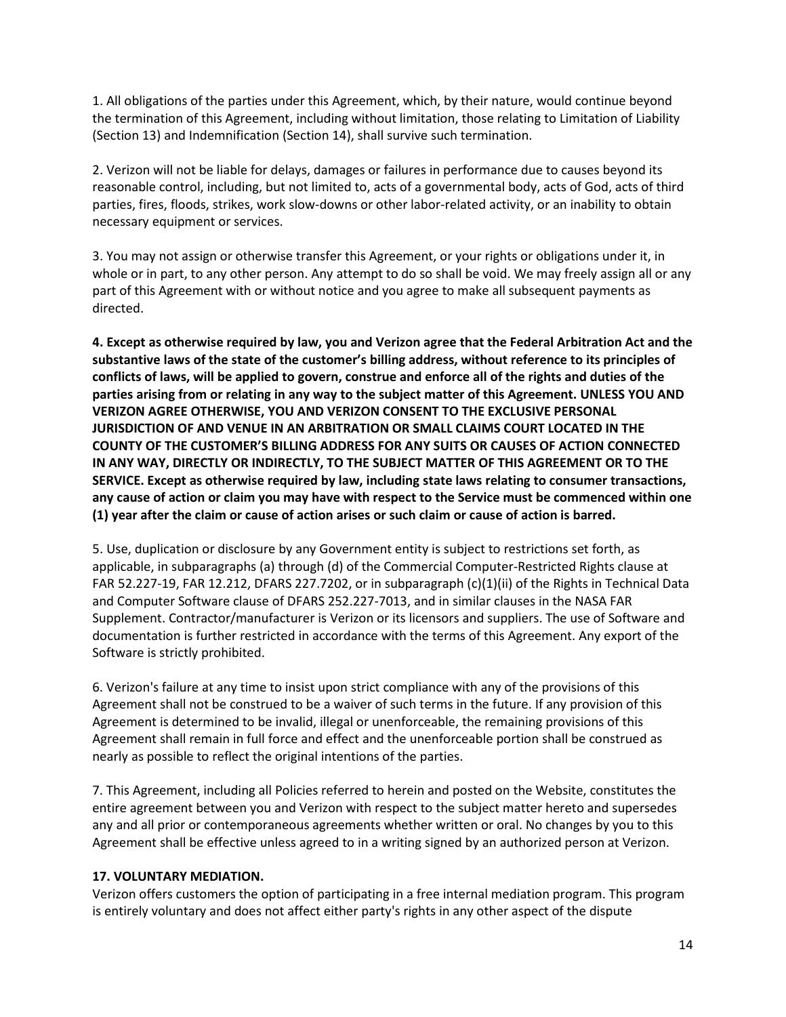1. All obligations of the parties under this Agreement, which, by their nature, would continue beyond the termination of this Agreement, including without limitation, those relating to Limitation of Liability (Section 13) and Indemnification (Section 14), shall survive such termination.

2. Verizon will not be liable for delays, damages or failures in performance due to causes beyond its reasonable control, including, but not limited to, acts of a governmental body, acts of God, acts of third parties, fires, floods, strikes, work slow-downs or other labor-related activity, or an inability to obtain necessary equipment or services.

3. You may not assign or otherwise transfer this Agreement, or your rights or obligations under it, in whole or in part, to any other person. Any attempt to do so shall be void. We may freely assign all or any part of this Agreement with or without notice and you agree to make all subsequent payments as directed.

**4. Except as otherwise required by law, you and Verizon agree that the Federal Arbitration Act and the substantive laws of the state of the customer's billing address, without reference to its principles of conflicts of laws, will be applied to govern, construe and enforce all of the rights and duties of the parties arising from or relating in any way to the subject matter of this Agreement. UNLESS YOU AND VERIZON AGREE OTHERWISE, YOU AND VERIZON CONSENT TO THE EXCLUSIVE PERSONAL JURISDICTION OF AND VENUE IN AN ARBITRATION OR SMALL CLAIMS COURT LOCATED IN THE COUNTY OF THE CUSTOMER'S BILLING ADDRESS FOR ANY SUITS OR CAUSES OF ACTION CONNECTED IN ANY WAY, DIRECTLY OR INDIRECTLY, TO THE SUBJECT MATTER OF THIS AGREEMENT OR TO THE SERVICE. Except as otherwise required by law, including state laws relating to consumer transactions, any cause of action or claim you may have with respect to the Service must be commenced within one (1) year after the claim or cause of action arises or such claim or cause of action is barred.** 

5. Use, duplication or disclosure by any Government entity is subject to restrictions set forth, as applicable, in subparagraphs (a) through (d) of the Commercial Computer-Restricted Rights clause at FAR 52.227-19, FAR 12.212, DFARS 227.7202, or in subparagraph (c)(1)(ii) of the Rights in Technical Data and Computer Software clause of DFARS 252.227-7013, and in similar clauses in the NASA FAR Supplement. Contractor/manufacturer is Verizon or its licensors and suppliers. The use of Software and documentation is further restricted in accordance with the terms of this Agreement. Any export of the Software is strictly prohibited.

6. Verizon's failure at any time to insist upon strict compliance with any of the provisions of this Agreement shall not be construed to be a waiver of such terms in the future. If any provision of this Agreement is determined to be invalid, illegal or unenforceable, the remaining provisions of this Agreement shall remain in full force and effect and the unenforceable portion shall be construed as nearly as possible to reflect the original intentions of the parties.

7. This Agreement, including all Policies referred to herein and posted on the Website, constitutes the entire agreement between you and Verizon with respect to the subject matter hereto and supersedes any and all prior or contemporaneous agreements whether written or oral. No changes by you to this Agreement shall be effective unless agreed to in a writing signed by an authorized person at Verizon.

### **17. VOLUNTARY MEDIATION.**

Verizon offers customers the option of participating in a free internal mediation program. This program is entirely voluntary and does not affect either party's rights in any other aspect of the dispute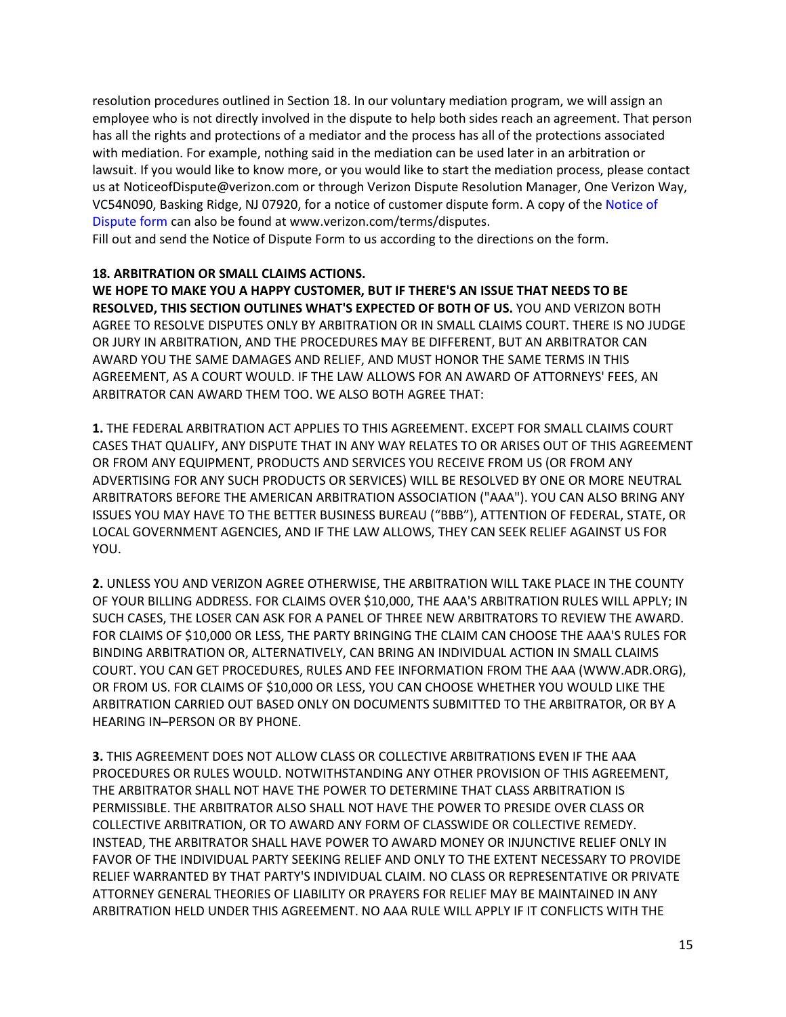resolution procedures outlined in Section 18. In our voluntary mediation program, we will assign an employee who is not directly involved in the dispute to help both sides reach an agreement. That person has all the rights and protections of a mediator and the process has all of the protections associated with mediation. For example, nothing said in the mediation can be used later in an arbitration or lawsuit. If you would like to know more, or you would like to start the mediation process, please contact us at NoticeofDispute@verizon.com or through Verizon Dispute Resolution Manager, One Verizon Way, VC54N090, Basking Ridge, NJ 07920, for a notice of customer dispute form. A copy of the Notice of Dispute form can also be found at www.verizon.com/terms/disputes.

Fill out and send the Notice of Dispute Form to us according to the directions on the form.

### **18. ARBITRATION OR SMALL CLAIMS ACTIONS.**

**WE HOPE TO MAKE YOU A HAPPY CUSTOMER, BUT IF THERE'S AN ISSUE THAT NEEDS TO BE RESOLVED, THIS SECTION OUTLINES WHAT'S EXPECTED OF BOTH OF US.** YOU AND VERIZON BOTH AGREE TO RESOLVE DISPUTES ONLY BY ARBITRATION OR IN SMALL CLAIMS COURT. THERE IS NO JUDGE OR JURY IN ARBITRATION, AND THE PROCEDURES MAY BE DIFFERENT, BUT AN ARBITRATOR CAN AWARD YOU THE SAME DAMAGES AND RELIEF, AND MUST HONOR THE SAME TERMS IN THIS AGREEMENT, AS A COURT WOULD. IF THE LAW ALLOWS FOR AN AWARD OF ATTORNEYS' FEES, AN ARBITRATOR CAN AWARD THEM TOO. WE ALSO BOTH AGREE THAT:

**1.** THE FEDERAL ARBITRATION ACT APPLIES TO THIS AGREEMENT. EXCEPT FOR SMALL CLAIMS COURT CASES THAT QUALIFY, ANY DISPUTE THAT IN ANY WAY RELATES TO OR ARISES OUT OF THIS AGREEMENT OR FROM ANY EQUIPMENT, PRODUCTS AND SERVICES YOU RECEIVE FROM US (OR FROM ANY ADVERTISING FOR ANY SUCH PRODUCTS OR SERVICES) WILL BE RESOLVED BY ONE OR MORE NEUTRAL ARBITRATORS BEFORE THE AMERICAN ARBITRATION ASSOCIATION ("AAA"). YOU CAN ALSO BRING ANY ISSUES YOU MAY HAVE TO THE BETTER BUSINESS BUREAU ("BBB"), ATTENTION OF FEDERAL, STATE, OR LOCAL GOVERNMENT AGENCIES, AND IF THE LAW ALLOWS, THEY CAN SEEK RELIEF AGAINST US FOR YOU.

**2.** UNLESS YOU AND VERIZON AGREE OTHERWISE, THE ARBITRATION WILL TAKE PLACE IN THE COUNTY OF YOUR BILLING ADDRESS. FOR CLAIMS OVER \$10,000, THE AAA'S ARBITRATION RULES WILL APPLY; IN SUCH CASES, THE LOSER CAN ASK FOR A PANEL OF THREE NEW ARBITRATORS TO REVIEW THE AWARD. FOR CLAIMS OF \$10,000 OR LESS, THE PARTY BRINGING THE CLAIM CAN CHOOSE THE AAA'S RULES FOR BINDING ARBITRATION OR, ALTERNATIVELY, CAN BRING AN INDIVIDUAL ACTION IN SMALL CLAIMS COURT. YOU CAN GET PROCEDURES, RULES AND FEE INFORMATION FROM THE AAA (WWW.ADR.ORG), OR FROM US. FOR CLAIMS OF \$10,000 OR LESS, YOU CAN CHOOSE WHETHER YOU WOULD LIKE THE ARBITRATION CARRIED OUT BASED ONLY ON DOCUMENTS SUBMITTED TO THE ARBITRATOR, OR BY A HEARING IN–PERSON OR BY PHONE.

**3.** THIS AGREEMENT DOES NOT ALLOW CLASS OR COLLECTIVE ARBITRATIONS EVEN IF THE AAA PROCEDURES OR RULES WOULD. NOTWITHSTANDING ANY OTHER PROVISION OF THIS AGREEMENT, THE ARBITRATOR SHALL NOT HAVE THE POWER TO DETERMINE THAT CLASS ARBITRATION IS PERMISSIBLE. THE ARBITRATOR ALSO SHALL NOT HAVE THE POWER TO PRESIDE OVER CLASS OR COLLECTIVE ARBITRATION, OR TO AWARD ANY FORM OF CLASSWIDE OR COLLECTIVE REMEDY. INSTEAD, THE ARBITRATOR SHALL HAVE POWER TO AWARD MONEY OR INJUNCTIVE RELIEF ONLY IN FAVOR OF THE INDIVIDUAL PARTY SEEKING RELIEF AND ONLY TO THE EXTENT NECESSARY TO PROVIDE RELIEF WARRANTED BY THAT PARTY'S INDIVIDUAL CLAIM. NO CLASS OR REPRESENTATIVE OR PRIVATE ATTORNEY GENERAL THEORIES OF LIABILITY OR PRAYERS FOR RELIEF MAY BE MAINTAINED IN ANY ARBITRATION HELD UNDER THIS AGREEMENT. NO AAA RULE WILL APPLY IF IT CONFLICTS WITH THE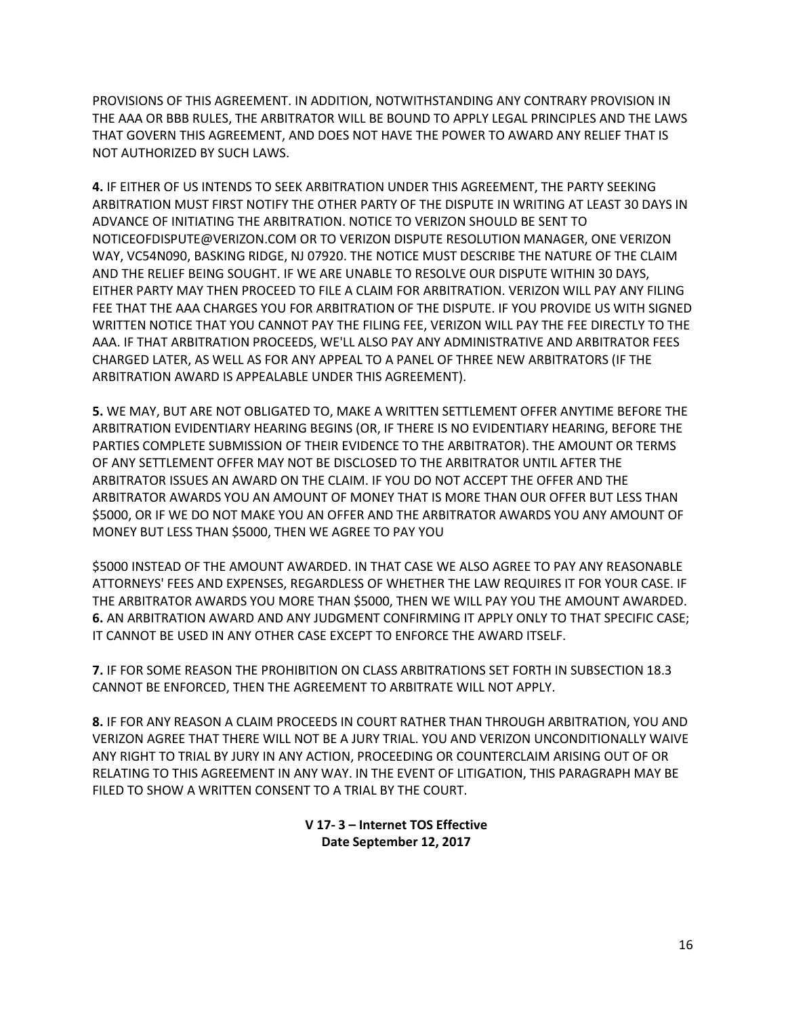PROVISIONS OF THIS AGREEMENT. IN ADDITION, NOTWITHSTANDING ANY CONTRARY PROVISION IN THE AAA OR BBB RULES, THE ARBITRATOR WILL BE BOUND TO APPLY LEGAL PRINCIPLES AND THE LAWS THAT GOVERN THIS AGREEMENT, AND DOES NOT HAVE THE POWER TO AWARD ANY RELIEF THAT IS NOT AUTHORIZED BY SUCH LAWS.

**4.** IF EITHER OF US INTENDS TO SEEK ARBITRATION UNDER THIS AGREEMENT, THE PARTY SEEKING ARBITRATION MUST FIRST NOTIFY THE OTHER PARTY OF THE DISPUTE IN WRITING AT LEAST 30 DAYS IN ADVANCE OF INITIATING THE ARBITRATION. NOTICE TO VERIZON SHOULD BE SENT TO NOTICEOFDISPUTE@VERIZON.COM OR TO VERIZON DISPUTE RESOLUTION MANAGER, ONE VERIZON WAY, VC54N090, BASKING RIDGE, NJ 07920. THE NOTICE MUST DESCRIBE THE NATURE OF THE CLAIM AND THE RELIEF BEING SOUGHT. IF WE ARE UNABLE TO RESOLVE OUR DISPUTE WITHIN 30 DAYS, EITHER PARTY MAY THEN PROCEED TO FILE A CLAIM FOR ARBITRATION. VERIZON WILL PAY ANY FILING FEE THAT THE AAA CHARGES YOU FOR ARBITRATION OF THE DISPUTE. IF YOU PROVIDE US WITH SIGNED WRITTEN NOTICE THAT YOU CANNOT PAY THE FILING FEE, VERIZON WILL PAY THE FEE DIRECTLY TO THE AAA. IF THAT ARBITRATION PROCEEDS, WE'LL ALSO PAY ANY ADMINISTRATIVE AND ARBITRATOR FEES CHARGED LATER, AS WELL AS FOR ANY APPEAL TO A PANEL OF THREE NEW ARBITRATORS (IF THE ARBITRATION AWARD IS APPEALABLE UNDER THIS AGREEMENT).

**5.** WE MAY, BUT ARE NOT OBLIGATED TO, MAKE A WRITTEN SETTLEMENT OFFER ANYTIME BEFORE THE ARBITRATION EVIDENTIARY HEARING BEGINS (OR, IF THERE IS NO EVIDENTIARY HEARING, BEFORE THE PARTIES COMPLETE SUBMISSION OF THEIR EVIDENCE TO THE ARBITRATOR). THE AMOUNT OR TERMS OF ANY SETTLEMENT OFFER MAY NOT BE DISCLOSED TO THE ARBITRATOR UNTIL AFTER THE ARBITRATOR ISSUES AN AWARD ON THE CLAIM. IF YOU DO NOT ACCEPT THE OFFER AND THE ARBITRATOR AWARDS YOU AN AMOUNT OF MONEY THAT IS MORE THAN OUR OFFER BUT LESS THAN \$5000, OR IF WE DO NOT MAKE YOU AN OFFER AND THE ARBITRATOR AWARDS YOU ANY AMOUNT OF MONEY BUT LESS THAN \$5000, THEN WE AGREE TO PAY YOU

\$5000 INSTEAD OF THE AMOUNT AWARDED. IN THAT CASE WE ALSO AGREE TO PAY ANY REASONABLE ATTORNEYS' FEES AND EXPENSES, REGARDLESS OF WHETHER THE LAW REQUIRES IT FOR YOUR CASE. IF THE ARBITRATOR AWARDS YOU MORE THAN \$5000, THEN WE WILL PAY YOU THE AMOUNT AWARDED. **6.** AN ARBITRATION AWARD AND ANY JUDGMENT CONFIRMING IT APPLY ONLY TO THAT SPECIFIC CASE; IT CANNOT BE USED IN ANY OTHER CASE EXCEPT TO ENFORCE THE AWARD ITSELF.

**7.** IF FOR SOME REASON THE PROHIBITION ON CLASS ARBITRATIONS SET FORTH IN SUBSECTION 18.3 CANNOT BE ENFORCED, THEN THE AGREEMENT TO ARBITRATE WILL NOT APPLY.

**8.** IF FOR ANY REASON A CLAIM PROCEEDS IN COURT RATHER THAN THROUGH ARBITRATION, YOU AND VERIZON AGREE THAT THERE WILL NOT BE A JURY TRIAL. YOU AND VERIZON UNCONDITIONALLY WAIVE ANY RIGHT TO TRIAL BY JURY IN ANY ACTION, PROCEEDING OR COUNTERCLAIM ARISING OUT OF OR RELATING TO THIS AGREEMENT IN ANY WAY. IN THE EVENT OF LITIGATION, THIS PARAGRAPH MAY BE FILED TO SHOW A WRITTEN CONSENT TO A TRIAL BY THE COURT.

> **V 17- 3 – Internet TOS Effective Date September 12, 2017**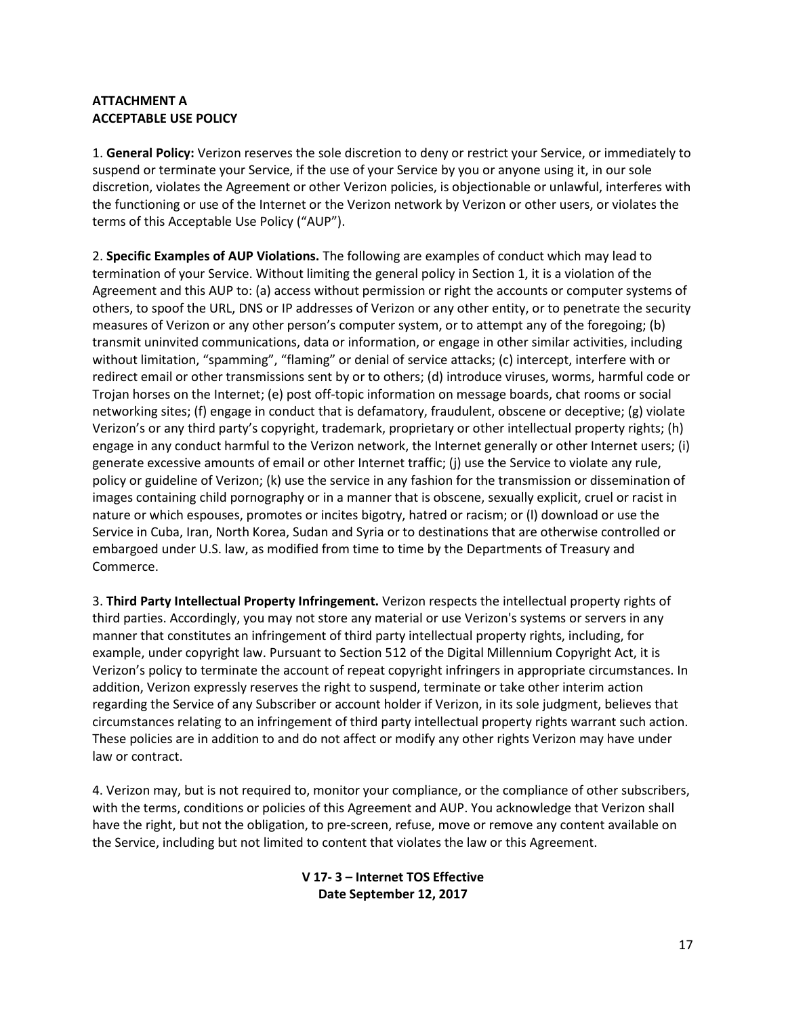## **ATTACHMENT A ACCEPTABLE USE POLICY**

1. **General Policy:** Verizon reserves the sole discretion to deny or restrict your Service, or immediately to suspend or terminate your Service, if the use of your Service by you or anyone using it, in our sole discretion, violates the Agreement or other Verizon policies, is objectionable or unlawful, interferes with the functioning or use of the Internet or the Verizon network by Verizon or other users, or violates the terms of this Acceptable Use Policy ("AUP").

2. **Specific Examples of AUP Violations.** The following are examples of conduct which may lead to termination of your Service. Without limiting the general policy in Section 1, it is a violation of the Agreement and this AUP to: (a) access without permission or right the accounts or computer systems of others, to spoof the URL, DNS or IP addresses of Verizon or any other entity, or to penetrate the security measures of Verizon or any other person's computer system, or to attempt any of the foregoing; (b) transmit uninvited communications, data or information, or engage in other similar activities, including without limitation, "spamming", "flaming" or denial of service attacks; (c) intercept, interfere with or redirect email or other transmissions sent by or to others; (d) introduce viruses, worms, harmful code or Trojan horses on the Internet; (e) post off-topic information on message boards, chat rooms or social networking sites; (f) engage in conduct that is defamatory, fraudulent, obscene or deceptive; (g) violate Verizon's or any third party's copyright, trademark, proprietary or other intellectual property rights; (h) engage in any conduct harmful to the Verizon network, the Internet generally or other Internet users; (i) generate excessive amounts of email or other Internet traffic; (j) use the Service to violate any rule, policy or guideline of Verizon; (k) use the service in any fashion for the transmission or dissemination of images containing child pornography or in a manner that is obscene, sexually explicit, cruel or racist in nature or which espouses, promotes or incites bigotry, hatred or racism; or (l) download or use the Service in Cuba, Iran, North Korea, Sudan and Syria or to destinations that are otherwise controlled or embargoed under U.S. law, as modified from time to time by the Departments of Treasury and Commerce.

3. **Third Party Intellectual Property Infringement.** Verizon respects the intellectual property rights of third parties. Accordingly, you may not store any material or use Verizon's systems or servers in any manner that constitutes an infringement of third party intellectual property rights, including, for example, under copyright law. Pursuant to Section 512 of the Digital Millennium Copyright Act, it is Verizon's policy to terminate the account of repeat copyright infringers in appropriate circumstances. In addition, Verizon expressly reserves the right to suspend, terminate or take other interim action regarding the Service of any Subscriber or account holder if Verizon, in its sole judgment, believes that circumstances relating to an infringement of third party intellectual property rights warrant such action. These policies are in addition to and do not affect or modify any other rights Verizon may have under law or contract.

4. Verizon may, but is not required to, monitor your compliance, or the compliance of other subscribers, with the terms, conditions or policies of this Agreement and AUP. You acknowledge that Verizon shall have the right, but not the obligation, to pre-screen, refuse, move or remove any content available on the Service, including but not limited to content that violates the law or this Agreement.

### **V 17- 3 – Internet TOS Effective Date September 12, 2017**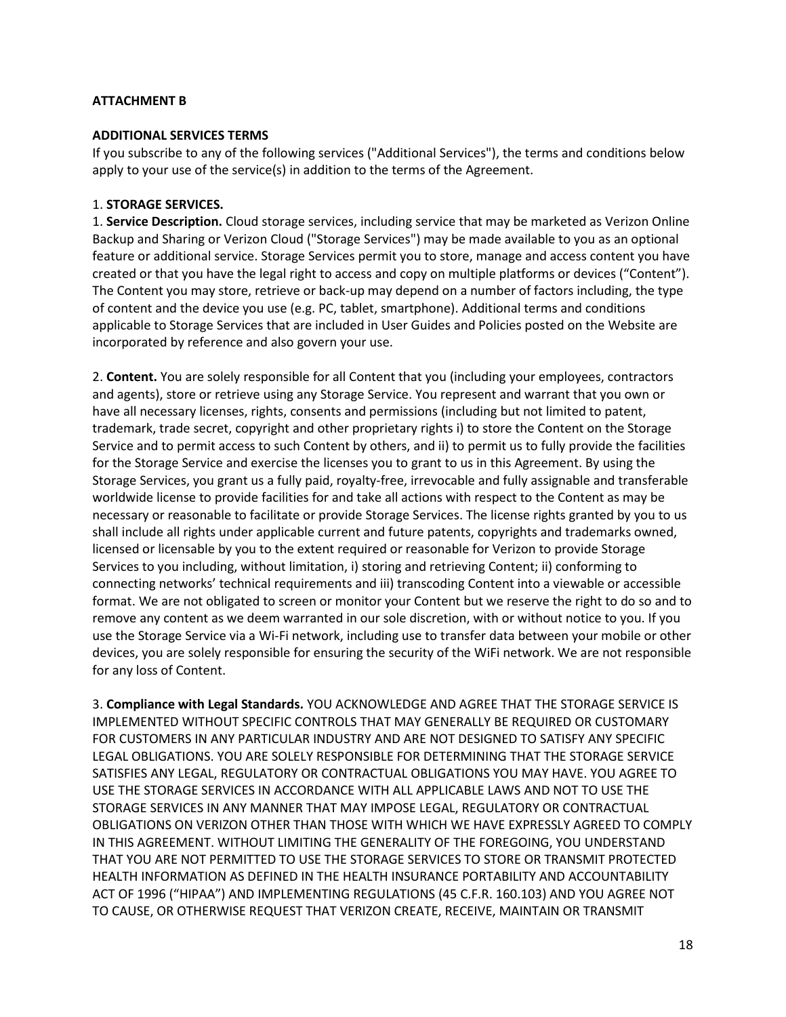## **ATTACHMENT B**

### **ADDITIONAL SERVICES TERMS**

If you subscribe to any of the following services ("Additional Services"), the terms and conditions below apply to your use of the service(s) in addition to the terms of the Agreement.

### 1. **STORAGE SERVICES.**

1. **Service Description.** Cloud storage services, including service that may be marketed as Verizon Online Backup and Sharing or Verizon Cloud ("Storage Services") may be made available to you as an optional feature or additional service. Storage Services permit you to store, manage and access content you have created or that you have the legal right to access and copy on multiple platforms or devices ("Content"). The Content you may store, retrieve or back-up may depend on a number of factors including, the type of content and the device you use (e.g. PC, tablet, smartphone). Additional terms and conditions applicable to Storage Services that are included in User Guides and Policies posted on the Website are incorporated by reference and also govern your use.

2. **Content.** You are solely responsible for all Content that you (including your employees, contractors and agents), store or retrieve using any Storage Service. You represent and warrant that you own or have all necessary licenses, rights, consents and permissions (including but not limited to patent, trademark, trade secret, copyright and other proprietary rights i) to store the Content on the Storage Service and to permit access to such Content by others, and ii) to permit us to fully provide the facilities for the Storage Service and exercise the licenses you to grant to us in this Agreement. By using the Storage Services, you grant us a fully paid, royalty-free, irrevocable and fully assignable and transferable worldwide license to provide facilities for and take all actions with respect to the Content as may be necessary or reasonable to facilitate or provide Storage Services. The license rights granted by you to us shall include all rights under applicable current and future patents, copyrights and trademarks owned, licensed or licensable by you to the extent required or reasonable for Verizon to provide Storage Services to you including, without limitation, i) storing and retrieving Content; ii) conforming to connecting networks' technical requirements and iii) transcoding Content into a viewable or accessible format. We are not obligated to screen or monitor your Content but we reserve the right to do so and to remove any content as we deem warranted in our sole discretion, with or without notice to you. If you use the Storage Service via a Wi-Fi network, including use to transfer data between your mobile or other devices, you are solely responsible for ensuring the security of the WiFi network. We are not responsible for any loss of Content.

3. **Compliance with Legal Standards.** YOU ACKNOWLEDGE AND AGREE THAT THE STORAGE SERVICE IS IMPLEMENTED WITHOUT SPECIFIC CONTROLS THAT MAY GENERALLY BE REQUIRED OR CUSTOMARY FOR CUSTOMERS IN ANY PARTICULAR INDUSTRY AND ARE NOT DESIGNED TO SATISFY ANY SPECIFIC LEGAL OBLIGATIONS. YOU ARE SOLELY RESPONSIBLE FOR DETERMINING THAT THE STORAGE SERVICE SATISFIES ANY LEGAL, REGULATORY OR CONTRACTUAL OBLIGATIONS YOU MAY HAVE. YOU AGREE TO USE THE STORAGE SERVICES IN ACCORDANCE WITH ALL APPLICABLE LAWS AND NOT TO USE THE STORAGE SERVICES IN ANY MANNER THAT MAY IMPOSE LEGAL, REGULATORY OR CONTRACTUAL OBLIGATIONS ON VERIZON OTHER THAN THOSE WITH WHICH WE HAVE EXPRESSLY AGREED TO COMPLY IN THIS AGREEMENT. WITHOUT LIMITING THE GENERALITY OF THE FOREGOING, YOU UNDERSTAND THAT YOU ARE NOT PERMITTED TO USE THE STORAGE SERVICES TO STORE OR TRANSMIT PROTECTED HEALTH INFORMATION AS DEFINED IN THE HEALTH INSURANCE PORTABILITY AND ACCOUNTABILITY ACT OF 1996 ("HIPAA") AND IMPLEMENTING REGULATIONS (45 C.F.R. 160.103) AND YOU AGREE NOT TO CAUSE, OR OTHERWISE REQUEST THAT VERIZON CREATE, RECEIVE, MAINTAIN OR TRANSMIT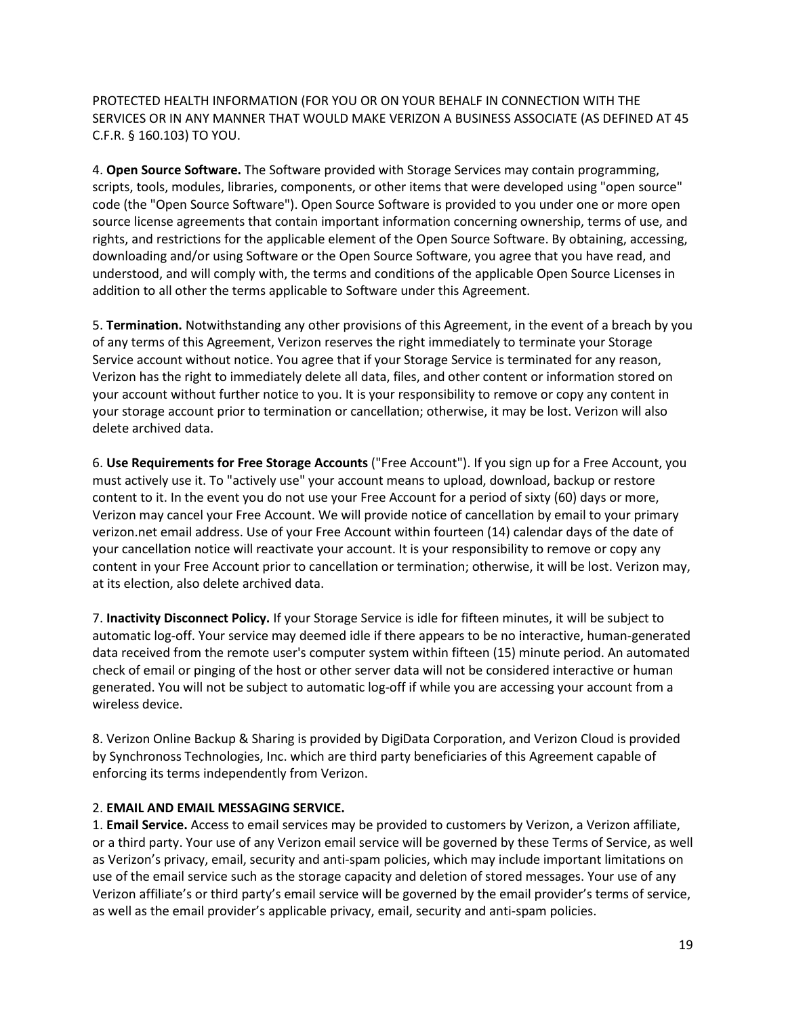PROTECTED HEALTH INFORMATION (FOR YOU OR ON YOUR BEHALF IN CONNECTION WITH THE SERVICES OR IN ANY MANNER THAT WOULD MAKE VERIZON A BUSINESS ASSOCIATE (AS DEFINED AT 45 C.F.R. § 160.103) TO YOU.

4. **Open Source Software.** The Software provided with Storage Services may contain programming, scripts, tools, modules, libraries, components, or other items that were developed using "open source" code (the "Open Source Software"). Open Source Software is provided to you under one or more open source license agreements that contain important information concerning ownership, terms of use, and rights, and restrictions for the applicable element of the Open Source Software. By obtaining, accessing, downloading and/or using Software or the Open Source Software, you agree that you have read, and understood, and will comply with, the terms and conditions of the applicable Open Source Licenses in addition to all other the terms applicable to Software under this Agreement.

5. **Termination.** Notwithstanding any other provisions of this Agreement, in the event of a breach by you of any terms of this Agreement, Verizon reserves the right immediately to terminate your Storage Service account without notice. You agree that if your Storage Service is terminated for any reason, Verizon has the right to immediately delete all data, files, and other content or information stored on your account without further notice to you. It is your responsibility to remove or copy any content in your storage account prior to termination or cancellation; otherwise, it may be lost. Verizon will also delete archived data.

6. **Use Requirements for Free Storage Accounts** ("Free Account"). If you sign up for a Free Account, you must actively use it. To "actively use" your account means to upload, download, backup or restore content to it. In the event you do not use your Free Account for a period of sixty (60) days or more, Verizon may cancel your Free Account. We will provide notice of cancellation by email to your primary verizon.net email address. Use of your Free Account within fourteen (14) calendar days of the date of your cancellation notice will reactivate your account. It is your responsibility to remove or copy any content in your Free Account prior to cancellation or termination; otherwise, it will be lost. Verizon may, at its election, also delete archived data.

7. **Inactivity Disconnect Policy.** If your Storage Service is idle for fifteen minutes, it will be subject to automatic log-off. Your service may deemed idle if there appears to be no interactive, human-generated data received from the remote user's computer system within fifteen (15) minute period. An automated check of email or pinging of the host or other server data will not be considered interactive or human generated. You will not be subject to automatic log-off if while you are accessing your account from a wireless device.

8. Verizon Online Backup & Sharing is provided by DigiData Corporation, and Verizon Cloud is provided by Synchronoss Technologies, Inc. which are third party beneficiaries of this Agreement capable of enforcing its terms independently from Verizon.

## 2. **EMAIL AND EMAIL MESSAGING SERVICE.**

1. **Email Service.** Access to email services may be provided to customers by Verizon, a Verizon affiliate, or a third party. Your use of any Verizon email service will be governed by these Terms of Service, as well as Verizon's privacy, email, security and anti-spam policies, which may include important limitations on use of the email service such as the storage capacity and deletion of stored messages. Your use of any Verizon affiliate's or third party's email service will be governed by the email provider's terms of service, as well as the email provider's applicable privacy, email, security and anti-spam policies.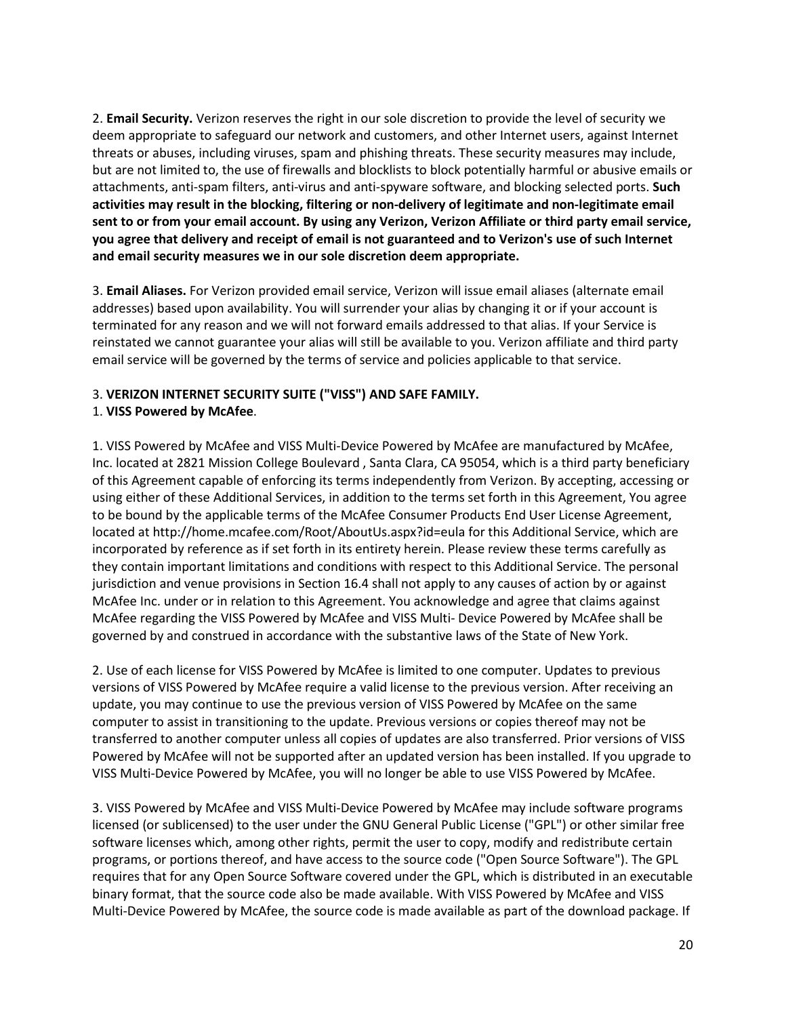2. **Email Security.** Verizon reserves the right in our sole discretion to provide the level of security we deem appropriate to safeguard our network and customers, and other Internet users, against Internet threats or abuses, including viruses, spam and phishing threats. These security measures may include, but are not limited to, the use of firewalls and blocklists to block potentially harmful or abusive emails or attachments, anti-spam filters, anti-virus and anti-spyware software, and blocking selected ports. **Such activities may result in the blocking, filtering or non-delivery of legitimate and non-legitimate email sent to or from your email account. By using any Verizon, Verizon Affiliate or third party email service, you agree that delivery and receipt of email is not guaranteed and to Verizon's use of such Internet and email security measures we in our sole discretion deem appropriate.** 

3. **Email Aliases.** For Verizon provided email service, Verizon will issue email aliases (alternate email addresses) based upon availability. You will surrender your alias by changing it or if your account is terminated for any reason and we will not forward emails addressed to that alias. If your Service is reinstated we cannot guarantee your alias will still be available to you. Verizon affiliate and third party email service will be governed by the terms of service and policies applicable to that service.

### 3. **VERIZON INTERNET SECURITY SUITE ("VISS") AND SAFE FAMILY.**

### 1. **VISS Powered by McAfee**.

1. VISS Powered by McAfee and VISS Multi-Device Powered by McAfee are manufactured by McAfee, Inc. located at 2821 Mission College Boulevard , Santa Clara, CA 95054, which is a third party beneficiary of this Agreement capable of enforcing its terms independently from Verizon. By accepting, accessing or using either of these Additional Services, in addition to the terms set forth in this Agreement, You agree to be bound by the applicable terms of the McAfee Consumer Products End User License Agreement, located at http://home.mcafee.com/Root/AboutUs.aspx?id=eula for this Additional Service, which are incorporated by reference as if set forth in its entirety herein. Please review these terms carefully as they contain important limitations and conditions with respect to this Additional Service. The personal jurisdiction and venue provisions in Section 16.4 shall not apply to any causes of action by or against McAfee Inc. under or in relation to this Agreement. You acknowledge and agree that claims against McAfee regarding the VISS Powered by McAfee and VISS Multi- Device Powered by McAfee shall be governed by and construed in accordance with the substantive laws of the State of New York.

2. Use of each license for VISS Powered by McAfee is limited to one computer. Updates to previous versions of VISS Powered by McAfee require a valid license to the previous version. After receiving an update, you may continue to use the previous version of VISS Powered by McAfee on the same computer to assist in transitioning to the update. Previous versions or copies thereof may not be transferred to another computer unless all copies of updates are also transferred. Prior versions of VISS Powered by McAfee will not be supported after an updated version has been installed. If you upgrade to VISS Multi-Device Powered by McAfee, you will no longer be able to use VISS Powered by McAfee.

3. VISS Powered by McAfee and VISS Multi-Device Powered by McAfee may include software programs licensed (or sublicensed) to the user under the GNU General Public License ("GPL") or other similar free software licenses which, among other rights, permit the user to copy, modify and redistribute certain programs, or portions thereof, and have access to the source code ("Open Source Software"). The GPL requires that for any Open Source Software covered under the GPL, which is distributed in an executable binary format, that the source code also be made available. With VISS Powered by McAfee and VISS Multi-Device Powered by McAfee, the source code is made available as part of the download package. If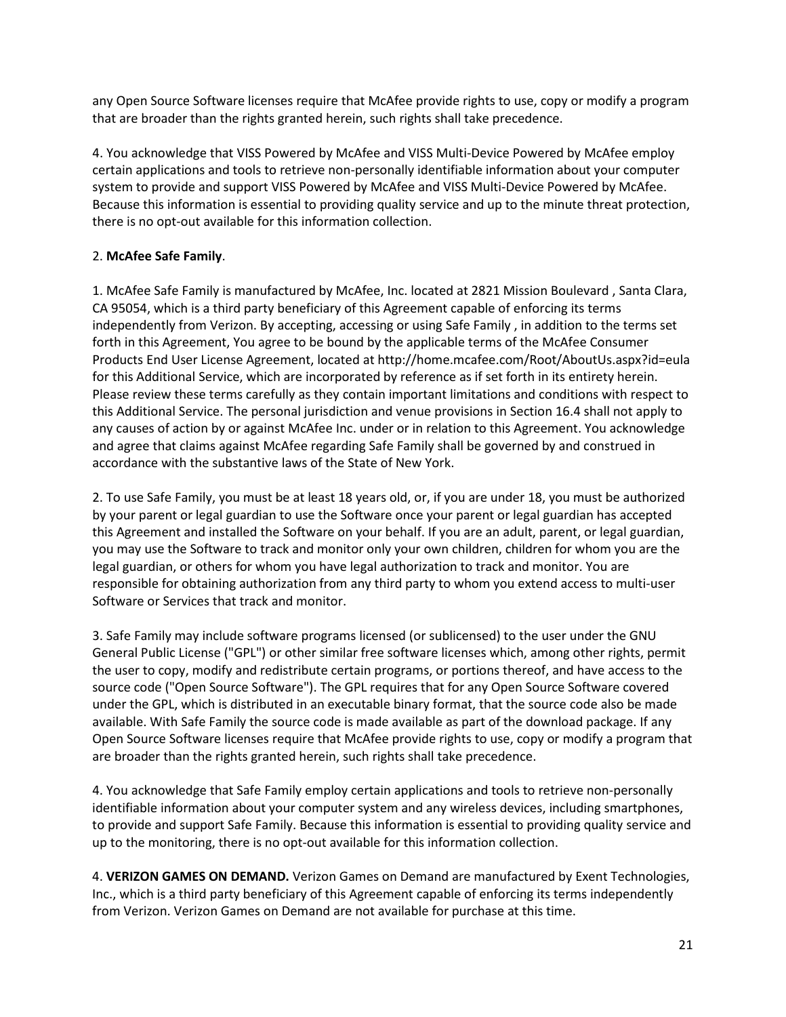any Open Source Software licenses require that McAfee provide rights to use, copy or modify a program that are broader than the rights granted herein, such rights shall take precedence.

4. You acknowledge that VISS Powered by McAfee and VISS Multi-Device Powered by McAfee employ certain applications and tools to retrieve non-personally identifiable information about your computer system to provide and support VISS Powered by McAfee and VISS Multi-Device Powered by McAfee. Because this information is essential to providing quality service and up to the minute threat protection, there is no opt-out available for this information collection.

## 2. **McAfee Safe Family**.

1. McAfee Safe Family is manufactured by McAfee, Inc. located at 2821 Mission Boulevard , Santa Clara, CA 95054, which is a third party beneficiary of this Agreement capable of enforcing its terms independently from Verizon. By accepting, accessing or using Safe Family , in addition to the terms set forth in this Agreement, You agree to be bound by the applicable terms of the McAfee Consumer Products End User License Agreement, located at http://home.mcafee.com/Root/AboutUs.aspx?id=eula for this Additional Service, which are incorporated by reference as if set forth in its entirety herein. Please review these terms carefully as they contain important limitations and conditions with respect to this Additional Service. The personal jurisdiction and venue provisions in Section 16.4 shall not apply to any causes of action by or against McAfee Inc. under or in relation to this Agreement. You acknowledge and agree that claims against McAfee regarding Safe Family shall be governed by and construed in accordance with the substantive laws of the State of New York.

2. To use Safe Family, you must be at least 18 years old, or, if you are under 18, you must be authorized by your parent or legal guardian to use the Software once your parent or legal guardian has accepted this Agreement and installed the Software on your behalf. If you are an adult, parent, or legal guardian, you may use the Software to track and monitor only your own children, children for whom you are the legal guardian, or others for whom you have legal authorization to track and monitor. You are responsible for obtaining authorization from any third party to whom you extend access to multi-user Software or Services that track and monitor.

3. Safe Family may include software programs licensed (or sublicensed) to the user under the GNU General Public License ("GPL") or other similar free software licenses which, among other rights, permit the user to copy, modify and redistribute certain programs, or portions thereof, and have access to the source code ("Open Source Software"). The GPL requires that for any Open Source Software covered under the GPL, which is distributed in an executable binary format, that the source code also be made available. With Safe Family the source code is made available as part of the download package. If any Open Source Software licenses require that McAfee provide rights to use, copy or modify a program that are broader than the rights granted herein, such rights shall take precedence.

4. You acknowledge that Safe Family employ certain applications and tools to retrieve non-personally identifiable information about your computer system and any wireless devices, including smartphones, to provide and support Safe Family. Because this information is essential to providing quality service and up to the monitoring, there is no opt-out available for this information collection.

4. **VERIZON GAMES ON DEMAND.** Verizon Games on Demand are manufactured by Exent Technologies, Inc., which is a third party beneficiary of this Agreement capable of enforcing its terms independently from Verizon. Verizon Games on Demand are not available for purchase at this time.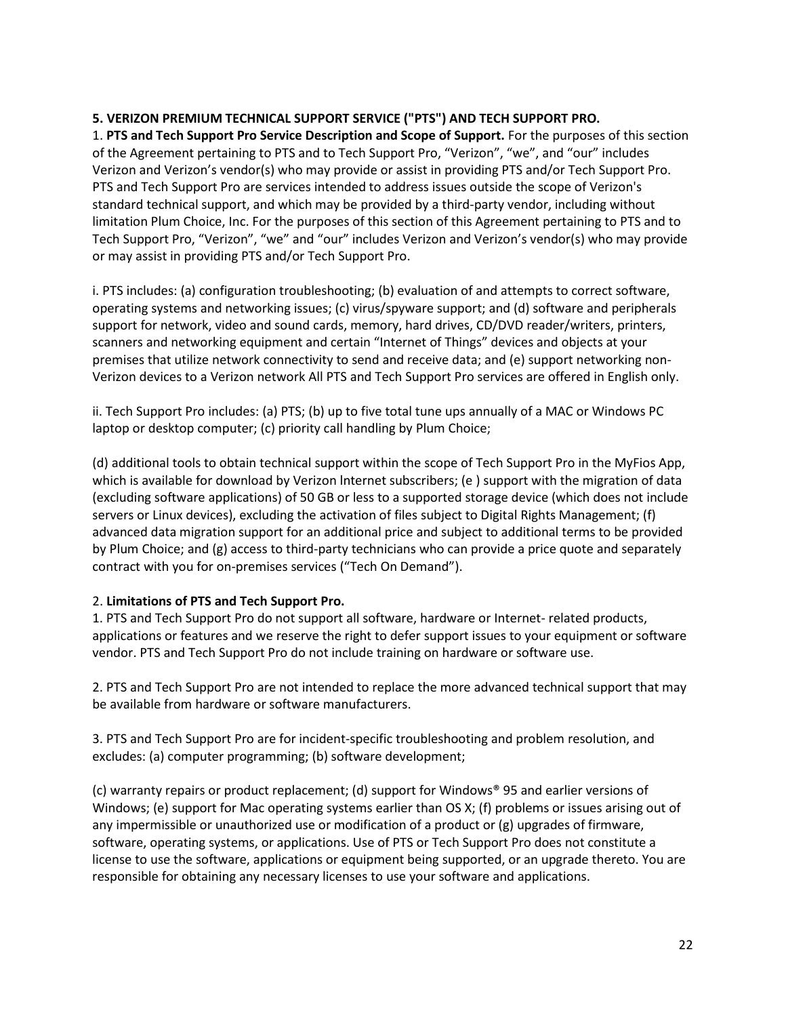### **5. VERIZON PREMIUM TECHNICAL SUPPORT SERVICE ("PTS") AND TECH SUPPORT PRO.**

1. **PTS and Tech Support Pro Service Description and Scope of Support.** For the purposes of this section of the Agreement pertaining to PTS and to Tech Support Pro, "Verizon", "we", and "our" includes Verizon and Verizon's vendor(s) who may provide or assist in providing PTS and/or Tech Support Pro. PTS and Tech Support Pro are services intended to address issues outside the scope of Verizon's standard technical support, and which may be provided by a third-party vendor, including without limitation Plum Choice, Inc. For the purposes of this section of this Agreement pertaining to PTS and to Tech Support Pro, "Verizon", "we" and "our" includes Verizon and Verizon's vendor(s) who may provide or may assist in providing PTS and/or Tech Support Pro.

i. PTS includes: (a) configuration troubleshooting; (b) evaluation of and attempts to correct software, operating systems and networking issues; (c) virus/spyware support; and (d) software and peripherals support for network, video and sound cards, memory, hard drives, CD/DVD reader/writers, printers, scanners and networking equipment and certain "Internet of Things" devices and objects at your premises that utilize network connectivity to send and receive data; and (e) support networking non-Verizon devices to a Verizon network All PTS and Tech Support Pro services are offered in English only.

ii. Tech Support Pro includes: (a) PTS; (b) up to five total tune ups annually of a MAC or Windows PC laptop or desktop computer; (c) priority call handling by Plum Choice;

(d) additional tools to obtain technical support within the scope of Tech Support Pro in the MyFios App, which is available for download by Verizon lnternet subscribers; (e ) support with the migration of data (excluding software applications) of 50 GB or less to a supported storage device (which does not include servers or Linux devices), excluding the activation of files subject to Digital Rights Management; (f) advanced data migration support for an additional price and subject to additional terms to be provided by Plum Choice; and (g) access to third-party technicians who can provide a price quote and separately contract with you for on-premises services ("Tech On Demand").

## 2. **Limitations of PTS and Tech Support Pro.**

1. PTS and Tech Support Pro do not support all software, hardware or Internet- related products, applications or features and we reserve the right to defer support issues to your equipment or software vendor. PTS and Tech Support Pro do not include training on hardware or software use.

2. PTS and Tech Support Pro are not intended to replace the more advanced technical support that may be available from hardware or software manufacturers.

3. PTS and Tech Support Pro are for incident-specific troubleshooting and problem resolution, and excludes: (a) computer programming; (b) software development;

(c) warranty repairs or product replacement; (d) support for Windows® 95 and earlier versions of Windows; (e) support for Mac operating systems earlier than OS X; (f) problems or issues arising out of any impermissible or unauthorized use or modification of a product or (g) upgrades of firmware, software, operating systems, or applications. Use of PTS or Tech Support Pro does not constitute a license to use the software, applications or equipment being supported, or an upgrade thereto. You are responsible for obtaining any necessary licenses to use your software and applications.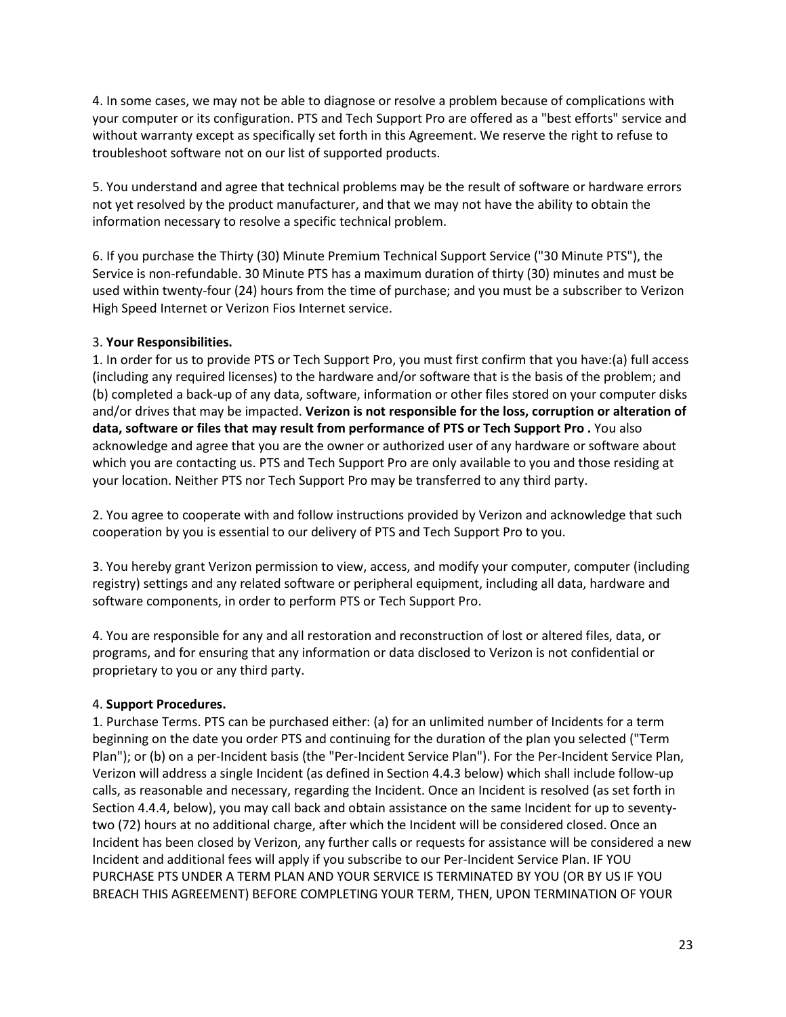4. In some cases, we may not be able to diagnose or resolve a problem because of complications with your computer or its configuration. PTS and Tech Support Pro are offered as a "best efforts" service and without warranty except as specifically set forth in this Agreement. We reserve the right to refuse to troubleshoot software not on our list of supported products.

5. You understand and agree that technical problems may be the result of software or hardware errors not yet resolved by the product manufacturer, and that we may not have the ability to obtain the information necessary to resolve a specific technical problem.

6. If you purchase the Thirty (30) Minute Premium Technical Support Service ("30 Minute PTS"), the Service is non-refundable. 30 Minute PTS has a maximum duration of thirty (30) minutes and must be used within twenty-four (24) hours from the time of purchase; and you must be a subscriber to Verizon High Speed Internet or Verizon Fios Internet service.

### 3. **Your Responsibilities.**

1. In order for us to provide PTS or Tech Support Pro, you must first confirm that you have:(a) full access (including any required licenses) to the hardware and/or software that is the basis of the problem; and (b) completed a back-up of any data, software, information or other files stored on your computer disks and/or drives that may be impacted. **Verizon is not responsible for the loss, corruption or alteration of data, software or files that may result from performance of PTS or Tech Support Pro .** You also acknowledge and agree that you are the owner or authorized user of any hardware or software about which you are contacting us. PTS and Tech Support Pro are only available to you and those residing at your location. Neither PTS nor Tech Support Pro may be transferred to any third party.

2. You agree to cooperate with and follow instructions provided by Verizon and acknowledge that such cooperation by you is essential to our delivery of PTS and Tech Support Pro to you.

3. You hereby grant Verizon permission to view, access, and modify your computer, computer (including registry) settings and any related software or peripheral equipment, including all data, hardware and software components, in order to perform PTS or Tech Support Pro.

4. You are responsible for any and all restoration and reconstruction of lost or altered files, data, or programs, and for ensuring that any information or data disclosed to Verizon is not confidential or proprietary to you or any third party.

## 4. **Support Procedures.**

1. Purchase Terms. PTS can be purchased either: (a) for an unlimited number of Incidents for a term beginning on the date you order PTS and continuing for the duration of the plan you selected ("Term Plan"); or (b) on a per-Incident basis (the "Per-Incident Service Plan"). For the Per-Incident Service Plan, Verizon will address a single Incident (as defined in Section 4.4.3 below) which shall include follow-up calls, as reasonable and necessary, regarding the Incident. Once an Incident is resolved (as set forth in Section 4.4.4, below), you may call back and obtain assistance on the same Incident for up to seventytwo (72) hours at no additional charge, after which the Incident will be considered closed. Once an Incident has been closed by Verizon, any further calls or requests for assistance will be considered a new Incident and additional fees will apply if you subscribe to our Per-Incident Service Plan. IF YOU PURCHASE PTS UNDER A TERM PLAN AND YOUR SERVICE IS TERMINATED BY YOU (OR BY US IF YOU BREACH THIS AGREEMENT) BEFORE COMPLETING YOUR TERM, THEN, UPON TERMINATION OF YOUR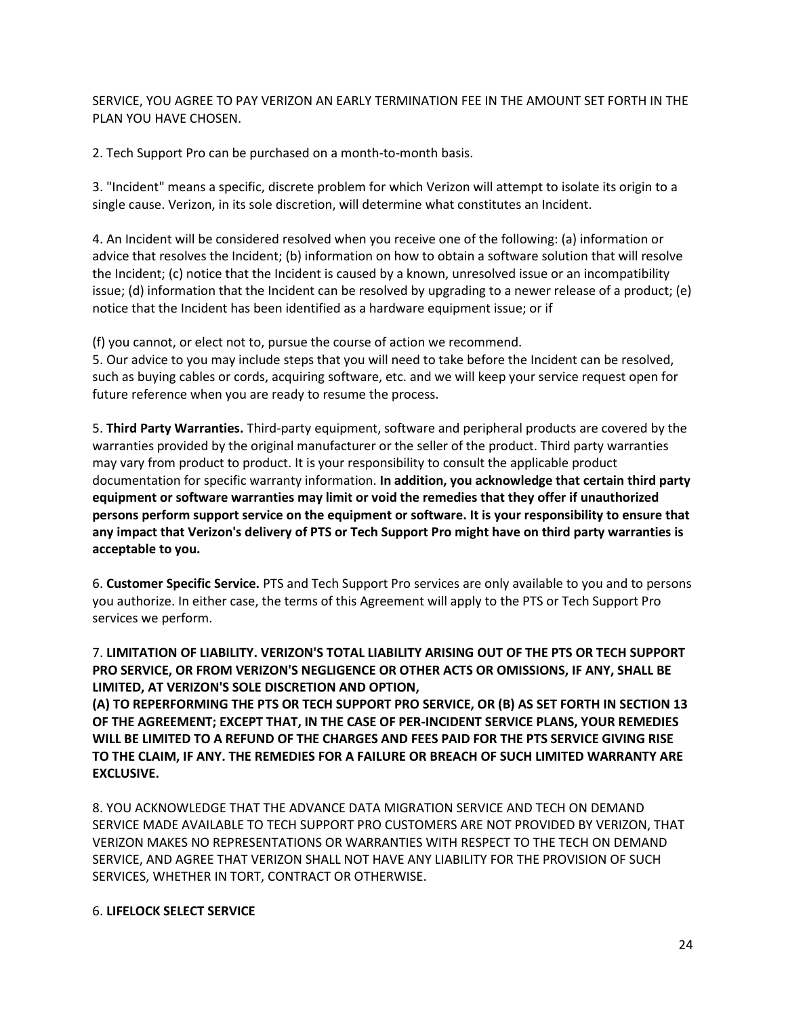SERVICE, YOU AGREE TO PAY VERIZON AN EARLY TERMINATION FEE IN THE AMOUNT SET FORTH IN THE PLAN YOU HAVE CHOSEN.

2. Tech Support Pro can be purchased on a month-to-month basis.

3. "Incident" means a specific, discrete problem for which Verizon will attempt to isolate its origin to a single cause. Verizon, in its sole discretion, will determine what constitutes an Incident.

4. An Incident will be considered resolved when you receive one of the following: (a) information or advice that resolves the Incident; (b) information on how to obtain a software solution that will resolve the Incident; (c) notice that the Incident is caused by a known, unresolved issue or an incompatibility issue; (d) information that the Incident can be resolved by upgrading to a newer release of a product; (e) notice that the Incident has been identified as a hardware equipment issue; or if

(f) you cannot, or elect not to, pursue the course of action we recommend.

5. Our advice to you may include steps that you will need to take before the Incident can be resolved, such as buying cables or cords, acquiring software, etc. and we will keep your service request open for future reference when you are ready to resume the process.

5. **Third Party Warranties.** Third-party equipment, software and peripheral products are covered by the warranties provided by the original manufacturer or the seller of the product. Third party warranties may vary from product to product. It is your responsibility to consult the applicable product documentation for specific warranty information. **In addition, you acknowledge that certain third party equipment or software warranties may limit or void the remedies that they offer if unauthorized persons perform support service on the equipment or software. It is your responsibility to ensure that any impact that Verizon's delivery of PTS or Tech Support Pro might have on third party warranties is acceptable to you.** 

6. **Customer Specific Service.** PTS and Tech Support Pro services are only available to you and to persons you authorize. In either case, the terms of this Agreement will apply to the PTS or Tech Support Pro services we perform.

7. **LIMITATION OF LIABILITY. VERIZON'S TOTAL LIABILITY ARISING OUT OF THE PTS OR TECH SUPPORT PRO SERVICE, OR FROM VERIZON'S NEGLIGENCE OR OTHER ACTS OR OMISSIONS, IF ANY, SHALL BE LIMITED, AT VERIZON'S SOLE DISCRETION AND OPTION,** 

**(A) TO REPERFORMING THE PTS OR TECH SUPPORT PRO SERVICE, OR (B) AS SET FORTH IN SECTION 13 OF THE AGREEMENT; EXCEPT THAT, IN THE CASE OF PER-INCIDENT SERVICE PLANS, YOUR REMEDIES WILL BE LIMITED TO A REFUND OF THE CHARGES AND FEES PAID FOR THE PTS SERVICE GIVING RISE TO THE CLAIM, IF ANY. THE REMEDIES FOR A FAILURE OR BREACH OF SUCH LIMITED WARRANTY ARE EXCLUSIVE.** 

8. YOU ACKNOWLEDGE THAT THE ADVANCE DATA MIGRATION SERVICE AND TECH ON DEMAND SERVICE MADE AVAILABLE TO TECH SUPPORT PRO CUSTOMERS ARE NOT PROVIDED BY VERIZON, THAT VERIZON MAKES NO REPRESENTATIONS OR WARRANTIES WITH RESPECT TO THE TECH ON DEMAND SERVICE, AND AGREE THAT VERIZON SHALL NOT HAVE ANY LIABILITY FOR THE PROVISION OF SUCH SERVICES, WHETHER IN TORT, CONTRACT OR OTHERWISE.

### 6. **LIFELOCK SELECT SERVICE**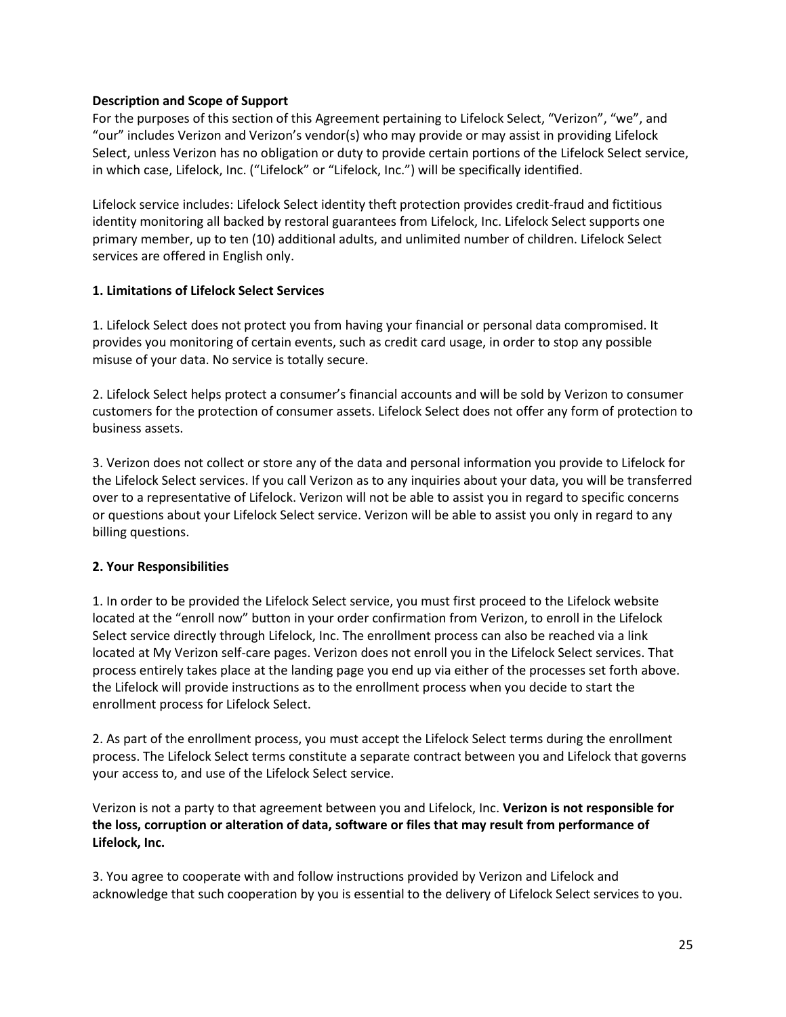### **Description and Scope of Support**

For the purposes of this section of this Agreement pertaining to Lifelock Select, "Verizon", "we", and "our" includes Verizon and Verizon's vendor(s) who may provide or may assist in providing Lifelock Select, unless Verizon has no obligation or duty to provide certain portions of the Lifelock Select service, in which case, Lifelock, Inc. ("Lifelock" or "Lifelock, Inc.") will be specifically identified.

Lifelock service includes: Lifelock Select identity theft protection provides credit-fraud and fictitious identity monitoring all backed by restoral guarantees from Lifelock, Inc. Lifelock Select supports one primary member, up to ten (10) additional adults, and unlimited number of children. Lifelock Select services are offered in English only.

### **1. Limitations of Lifelock Select Services**

1. Lifelock Select does not protect you from having your financial or personal data compromised. It provides you monitoring of certain events, such as credit card usage, in order to stop any possible misuse of your data. No service is totally secure.

2. Lifelock Select helps protect a consumer's financial accounts and will be sold by Verizon to consumer customers for the protection of consumer assets. Lifelock Select does not offer any form of protection to business assets.

3. Verizon does not collect or store any of the data and personal information you provide to Lifelock for the Lifelock Select services. If you call Verizon as to any inquiries about your data, you will be transferred over to a representative of Lifelock. Verizon will not be able to assist you in regard to specific concerns or questions about your Lifelock Select service. Verizon will be able to assist you only in regard to any billing questions.

## **2. Your Responsibilities**

1. In order to be provided the Lifelock Select service, you must first proceed to the Lifelock website located at the "enroll now" button in your order confirmation from Verizon, to enroll in the Lifelock Select service directly through Lifelock, Inc. The enrollment process can also be reached via a link located at My Verizon self-care pages. Verizon does not enroll you in the Lifelock Select services. That process entirely takes place at the landing page you end up via either of the processes set forth above. the Lifelock will provide instructions as to the enrollment process when you decide to start the enrollment process for Lifelock Select.

2. As part of the enrollment process, you must accept the Lifelock Select terms during the enrollment process. The Lifelock Select terms constitute a separate contract between you and Lifelock that governs your access to, and use of the Lifelock Select service.

Verizon is not a party to that agreement between you and Lifelock, Inc. **Verizon is not responsible for the loss, corruption or alteration of data, software or files that may result from performance of Lifelock, Inc.** 

3. You agree to cooperate with and follow instructions provided by Verizon and Lifelock and acknowledge that such cooperation by you is essential to the delivery of Lifelock Select services to you.